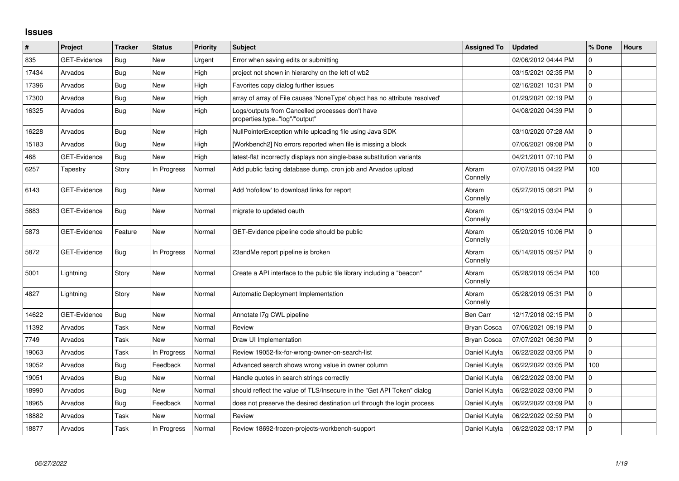## **Issues**

| ∦     | Project             | <b>Tracker</b> | <b>Status</b> | <b>Priority</b> | <b>Subject</b>                                                                     | <b>Assigned To</b> | <b>Updated</b>      | % Done      | <b>Hours</b> |
|-------|---------------------|----------------|---------------|-----------------|------------------------------------------------------------------------------------|--------------------|---------------------|-------------|--------------|
| 835   | <b>GET-Evidence</b> | Bug            | <b>New</b>    | Urgent          | Error when saving edits or submitting                                              |                    | 02/06/2012 04:44 PM | $\mathbf 0$ |              |
| 17434 | Arvados             | Bug            | <b>New</b>    | High            | project not shown in hierarchy on the left of wb2                                  |                    | 03/15/2021 02:35 PM | 0           |              |
| 17396 | Arvados             | <b>Bug</b>     | <b>New</b>    | High            | Favorites copy dialog further issues                                               |                    | 02/16/2021 10:31 PM | 0           |              |
| 17300 | Arvados             | Bug            | <b>New</b>    | High            | array of array of File causes 'NoneType' object has no attribute 'resolved'        |                    | 01/29/2021 02:19 PM | 0           |              |
| 16325 | Arvados             | Bug            | <b>New</b>    | High            | Logs/outputs from Cancelled processes don't have<br>properties.type="log"/"output" |                    | 04/08/2020 04:39 PM | $\Omega$    |              |
| 16228 | Arvados             | Bug            | <b>New</b>    | High            | NullPointerException while uploading file using Java SDK                           |                    | 03/10/2020 07:28 AM | 0           |              |
| 15183 | Arvados             | Bug            | <b>New</b>    | High            | [Workbench2] No errors reported when file is missing a block                       |                    | 07/06/2021 09:08 PM | $\Omega$    |              |
| 468   | <b>GET-Evidence</b> | <b>Bug</b>     | New           | High            | latest-flat incorrectly displays non single-base substitution variants             |                    | 04/21/2011 07:10 PM | 0           |              |
| 6257  | Tapestry            | Story          | In Progress   | Normal          | Add public facing database dump, cron job and Arvados upload                       | Abram<br>Connelly  | 07/07/2015 04:22 PM | 100         |              |
| 6143  | <b>GET-Evidence</b> | Bug            | <b>New</b>    | Normal          | Add 'nofollow' to download links for report                                        | Abram<br>Connelly  | 05/27/2015 08:21 PM | 0           |              |
| 5883  | <b>GET-Evidence</b> | Bug            | <b>New</b>    | Normal          | migrate to updated oauth                                                           | Abram<br>Connelly  | 05/19/2015 03:04 PM | $\Omega$    |              |
| 5873  | <b>GET-Evidence</b> | Feature        | <b>New</b>    | Normal          | GET-Evidence pipeline code should be public                                        | Abram<br>Connelly  | 05/20/2015 10:06 PM | $\mathbf 0$ |              |
| 5872  | <b>GET-Evidence</b> | Bug            | In Progress   | Normal          | 23andMe report pipeline is broken                                                  | Abram<br>Connelly  | 05/14/2015 09:57 PM | $\Omega$    |              |
| 5001  | Lightning           | Story          | <b>New</b>    | Normal          | Create a API interface to the public tile library including a "beacon"             | Abram<br>Connelly  | 05/28/2019 05:34 PM | 100         |              |
| 4827  | Lightning           | Story          | <b>New</b>    | Normal          | Automatic Deployment Implementation                                                | Abram<br>Connelly  | 05/28/2019 05:31 PM | 0           |              |
| 14622 | <b>GET-Evidence</b> | <b>Bug</b>     | <b>New</b>    | Normal          | Annotate I7g CWL pipeline                                                          | Ben Carr           | 12/17/2018 02:15 PM | 0           |              |
| 11392 | Arvados             | Task           | <b>New</b>    | Normal          | Review                                                                             | Bryan Cosca        | 07/06/2021 09:19 PM | 0           |              |
| 7749  | Arvados             | Task           | <b>New</b>    | Normal          | Draw UI Implementation                                                             | <b>Bryan Cosca</b> | 07/07/2021 06:30 PM | $\Omega$    |              |
| 19063 | Arvados             | Task           | In Progress   | Normal          | Review 19052-fix-for-wrong-owner-on-search-list                                    | Daniel Kutyła      | 06/22/2022 03:05 PM | 0           |              |
| 19052 | Arvados             | Bug            | Feedback      | Normal          | Advanced search shows wrong value in owner column                                  | Daniel Kutyła      | 06/22/2022 03:05 PM | 100         |              |
| 19051 | Arvados             | <b>Bug</b>     | <b>New</b>    | Normal          | Handle quotes in search strings correctly                                          | Daniel Kutyła      | 06/22/2022 03:00 PM | 0           |              |
| 18990 | Arvados             | <b>Bug</b>     | <b>New</b>    | Normal          | should reflect the value of TLS/Insecure in the "Get API Token" dialog             | Daniel Kutyła      | 06/22/2022 03:00 PM | 0           |              |
| 18965 | Arvados             | <b>Bug</b>     | Feedback      | Normal          | does not preserve the desired destination url through the login process            | Daniel Kutyła      | 06/22/2022 03:09 PM | $\Omega$    |              |
| 18882 | Arvados             | Task           | <b>New</b>    | Normal          | Review                                                                             | Daniel Kutyła      | 06/22/2022 02:59 PM | 0           |              |
| 18877 | Arvados             | Task           | In Progress   | Normal          | Review 18692-frozen-projects-workbench-support                                     | Daniel Kutyła      | 06/22/2022 03:17 PM | $\Omega$    |              |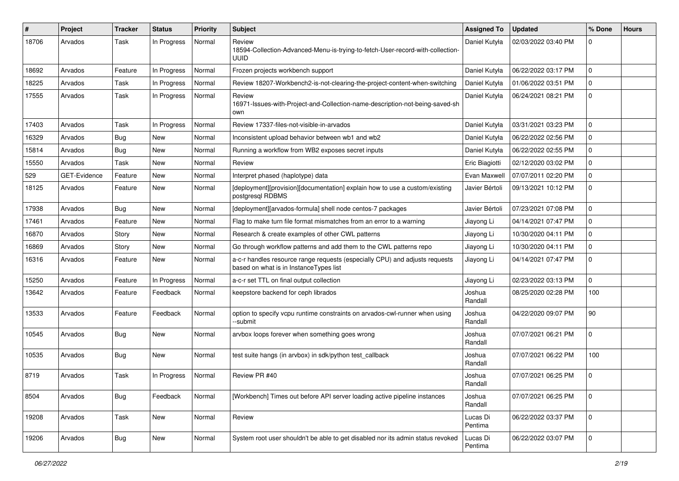| #     | Project      | <b>Tracker</b> | <b>Status</b> | <b>Priority</b> | <b>Subject</b>                                                                                                        | <b>Assigned To</b>  | <b>Updated</b>      | % Done      | <b>Hours</b> |
|-------|--------------|----------------|---------------|-----------------|-----------------------------------------------------------------------------------------------------------------------|---------------------|---------------------|-------------|--------------|
| 18706 | Arvados      | Task           | In Progress   | Normal          | Review<br>18594-Collection-Advanced-Menu-is-trying-to-fetch-User-record-with-collection-<br>uuid                      | Daniel Kutyła       | 02/03/2022 03:40 PM | 0           |              |
| 18692 | Arvados      | Feature        | In Progress   | Normal          | Frozen projects workbench support                                                                                     | Daniel Kutyła       | 06/22/2022 03:17 PM | 0           |              |
| 18225 | Arvados      | Task           | In Progress   | Normal          | Review 18207-Workbench2-is-not-clearing-the-project-content-when-switching                                            | Daniel Kutyła       | 01/06/2022 03:51 PM | 0           |              |
| 17555 | Arvados      | Task           | In Progress   | Normal          | Review<br>16971-Issues-with-Project-and-Collection-name-description-not-being-saved-sh<br>own                         | Daniel Kutyła       | 06/24/2021 08:21 PM | 0           |              |
| 17403 | Arvados      | Task           | In Progress   | Normal          | Review 17337-files-not-visible-in-arvados                                                                             | Daniel Kutyła       | 03/31/2021 03:23 PM | 0           |              |
| 16329 | Arvados      | Bug            | <b>New</b>    | Normal          | Inconsistent upload behavior between wb1 and wb2                                                                      | Daniel Kutyła       | 06/22/2022 02:56 PM | 0           |              |
| 15814 | Arvados      | Bug            | New           | Normal          | Running a workflow from WB2 exposes secret inputs                                                                     | Daniel Kutyła       | 06/22/2022 02:55 PM | 0           |              |
| 15550 | Arvados      | Task           | New           | Normal          | Review                                                                                                                | Eric Biagiotti      | 02/12/2020 03:02 PM | 0           |              |
| 529   | GET-Evidence | Feature        | New           | Normal          | Interpret phased (haplotype) data                                                                                     | Evan Maxwell        | 07/07/2011 02:20 PM | 0           |              |
| 18125 | Arvados      | Feature        | New           | Normal          | [deployment][provision][documentation] explain how to use a custom/existing<br>postgresql RDBMS                       | Javier Bértoli      | 09/13/2021 10:12 PM | 0           |              |
| 17938 | Arvados      | Bug            | <b>New</b>    | Normal          | [deployment][arvados-formula] shell node centos-7 packages                                                            | Javier Bértoli      | 07/23/2021 07:08 PM | 0           |              |
| 17461 | Arvados      | Feature        | New           | Normal          | Flag to make turn file format mismatches from an error to a warning                                                   | Jiayong Li          | 04/14/2021 07:47 PM | 0           |              |
| 16870 | Arvados      | Story          | <b>New</b>    | Normal          | Research & create examples of other CWL patterns                                                                      | Jiayong Li          | 10/30/2020 04:11 PM | 0           |              |
| 16869 | Arvados      | Story          | New           | Normal          | Go through workflow patterns and add them to the CWL patterns repo                                                    | Jiayong Li          | 10/30/2020 04:11 PM | 0           |              |
| 16316 | Arvados      | Feature        | New           | Normal          | a-c-r handles resource range requests (especially CPU) and adjusts requests<br>based on what is in InstanceTypes list | Jiayong Li          | 04/14/2021 07:47 PM | 0           |              |
| 15250 | Arvados      | Feature        | In Progress   | Normal          | a-c-r set TTL on final output collection                                                                              | Jiayong Li          | 02/23/2022 03:13 PM | 0           |              |
| 13642 | Arvados      | Feature        | Feedback      | Normal          | keepstore backend for ceph librados                                                                                   | Joshua<br>Randall   | 08/25/2020 02:28 PM | 100         |              |
| 13533 | Arvados      | Feature        | Feedback      | Normal          | option to specify vcpu runtime constraints on arvados-cwl-runner when using<br>-submit                                | Joshua<br>Randall   | 04/22/2020 09:07 PM | 90          |              |
| 10545 | Arvados      | Bug            | New           | Normal          | arvbox loops forever when something goes wrong                                                                        | Joshua<br>Randall   | 07/07/2021 06:21 PM | 0           |              |
| 10535 | Arvados      | Bug            | <b>New</b>    | Normal          | test suite hangs (in arvbox) in sdk/python test_callback                                                              | Joshua<br>Randall   | 07/07/2021 06:22 PM | 100         |              |
| 8719  | Arvados      | Task           | In Progress   | Normal          | Review PR #40                                                                                                         | Joshua<br>Randall   | 07/07/2021 06:25 PM | 0           |              |
| 8504  | Arvados      | Bug            | Feedback      | Normal          | [Workbench] Times out before API server loading active pipeline instances                                             | Joshua<br>Randall   | 07/07/2021 06:25 PM | $\mathbf 0$ |              |
| 19208 | Arvados      | Task           | New           | Normal          | Review                                                                                                                | Lucas Di<br>Pentima | 06/22/2022 03:37 PM | $\mathbf 0$ |              |
| 19206 | Arvados      | <b>Bug</b>     | New           | Normal          | System root user shouldn't be able to get disabled nor its admin status revoked                                       | Lucas Di<br>Pentima | 06/22/2022 03:07 PM | $\mathbf 0$ |              |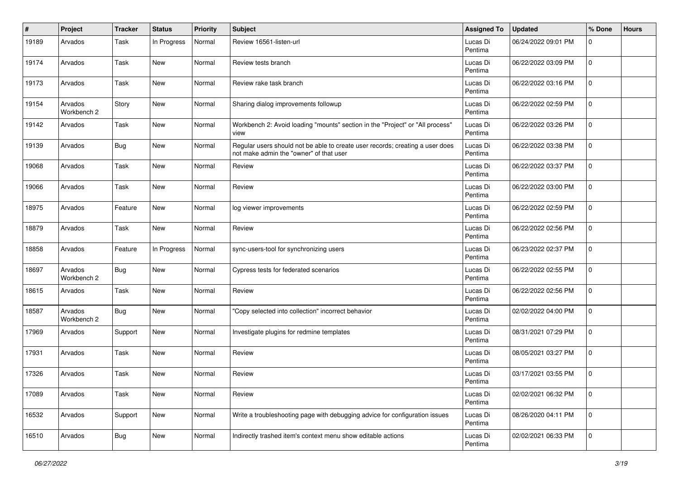| #     | Project                | <b>Tracker</b> | <b>Status</b> | <b>Priority</b> | <b>Subject</b>                                                                                                           | <b>Assigned To</b>  | <b>Updated</b>      | % Done       | <b>Hours</b> |
|-------|------------------------|----------------|---------------|-----------------|--------------------------------------------------------------------------------------------------------------------------|---------------------|---------------------|--------------|--------------|
| 19189 | Arvados                | Task           | In Progress   | Normal          | Review 16561-listen-url                                                                                                  | Lucas Di<br>Pentima | 06/24/2022 09:01 PM | 0            |              |
| 19174 | Arvados                | Task           | <b>New</b>    | Normal          | Review tests branch                                                                                                      | Lucas Di<br>Pentima | 06/22/2022 03:09 PM | 0            |              |
| 19173 | Arvados                | Task           | <b>New</b>    | Normal          | Review rake task branch                                                                                                  | Lucas Di<br>Pentima | 06/22/2022 03:16 PM | 0            |              |
| 19154 | Arvados<br>Workbench 2 | Story          | <b>New</b>    | Normal          | Sharing dialog improvements followup                                                                                     | Lucas Di<br>Pentima | 06/22/2022 02:59 PM | 0            |              |
| 19142 | Arvados                | Task           | New           | Normal          | Workbench 2: Avoid loading "mounts" section in the "Project" or "All process"<br>view                                    | Lucas Di<br>Pentima | 06/22/2022 03:26 PM | 0            |              |
| 19139 | Arvados                | Bug            | New           | Normal          | Regular users should not be able to create user records; creating a user does<br>not make admin the "owner" of that user | Lucas Di<br>Pentima | 06/22/2022 03:38 PM | $\mathbf 0$  |              |
| 19068 | Arvados                | Task           | <b>New</b>    | Normal          | Review                                                                                                                   | Lucas Di<br>Pentima | 06/22/2022 03:37 PM | 0            |              |
| 19066 | Arvados                | Task           | New           | Normal          | Review                                                                                                                   | Lucas Di<br>Pentima | 06/22/2022 03:00 PM | 0            |              |
| 18975 | Arvados                | Feature        | <b>New</b>    | Normal          | log viewer improvements                                                                                                  | Lucas Di<br>Pentima | 06/22/2022 02:59 PM | 0            |              |
| 18879 | Arvados                | Task           | <b>New</b>    | Normal          | Review                                                                                                                   | Lucas Di<br>Pentima | 06/22/2022 02:56 PM | 0            |              |
| 18858 | Arvados                | Feature        | In Progress   | Normal          | sync-users-tool for synchronizing users                                                                                  | Lucas Di<br>Pentima | 06/23/2022 02:37 PM | 0            |              |
| 18697 | Arvados<br>Workbench 2 | Bug            | <b>New</b>    | Normal          | Cypress tests for federated scenarios                                                                                    | Lucas Di<br>Pentima | 06/22/2022 02:55 PM | 0            |              |
| 18615 | Arvados                | Task           | <b>New</b>    | Normal          | Review                                                                                                                   | Lucas Di<br>Pentima | 06/22/2022 02:56 PM | $\mathbf{0}$ |              |
| 18587 | Arvados<br>Workbench 2 | Bug            | <b>New</b>    | Normal          | "Copy selected into collection" incorrect behavior                                                                       | Lucas Di<br>Pentima | 02/02/2022 04:00 PM | 0            |              |
| 17969 | Arvados                | Support        | New           | Normal          | Investigate plugins for redmine templates                                                                                | Lucas Di<br>Pentima | 08/31/2021 07:29 PM | 0            |              |
| 17931 | Arvados                | Task           | <b>New</b>    | Normal          | Review                                                                                                                   | Lucas Di<br>Pentima | 08/05/2021 03:27 PM | 0            |              |
| 17326 | Arvados                | Task           | <b>New</b>    | Normal          | Review                                                                                                                   | Lucas Di<br>Pentima | 03/17/2021 03:55 PM | 0            |              |
| 17089 | Arvados                | Task           | New           | Normal          | Review                                                                                                                   | Lucas Di<br>Pentima | 02/02/2021 06:32 PM | 0            |              |
| 16532 | Arvados                | Support        | <b>New</b>    | Normal          | Write a troubleshooting page with debugging advice for configuration issues                                              | Lucas Di<br>Pentima | 08/26/2020 04:11 PM | $\mathbf 0$  |              |
| 16510 | Arvados                | <b>Bug</b>     | New           | Normal          | Indirectly trashed item's context menu show editable actions                                                             | Lucas Di<br>Pentima | 02/02/2021 06:33 PM | 0            |              |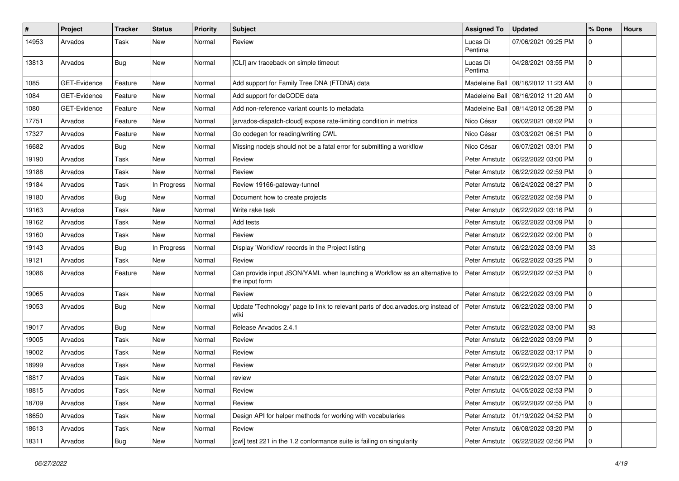| #     | Project             | <b>Tracker</b> | <b>Status</b> | <b>Priority</b> | Subject                                                                                      | <b>Assigned To</b>  | <b>Updated</b>                       | % Done      | <b>Hours</b> |
|-------|---------------------|----------------|---------------|-----------------|----------------------------------------------------------------------------------------------|---------------------|--------------------------------------|-------------|--------------|
| 14953 | Arvados             | Task           | New           | Normal          | Review                                                                                       | Lucas Di<br>Pentima | 07/06/2021 09:25 PM                  | 0           |              |
| 13813 | Arvados             | Bug            | New           | Normal          | [CLI] arv traceback on simple timeout                                                        | Lucas Di<br>Pentima | 04/28/2021 03:55 PM                  | $\mathbf 0$ |              |
| 1085  | GET-Evidence        | Feature        | New           | Normal          | Add support for Family Tree DNA (FTDNA) data                                                 | Madeleine Ball      | 08/16/2012 11:23 AM                  | $\mathbf 0$ |              |
| 1084  | <b>GET-Evidence</b> | Feature        | New           | Normal          | Add support for deCODE data                                                                  |                     | Madeleine Ball   08/16/2012 11:20 AM | $\mathbf 0$ |              |
| 1080  | GET-Evidence        | Feature        | <b>New</b>    | Normal          | Add non-reference variant counts to metadata                                                 | Madeleine Ball      | 08/14/2012 05:28 PM                  | $\mathbf 0$ |              |
| 17751 | Arvados             | Feature        | New           | Normal          | [arvados-dispatch-cloud] expose rate-limiting condition in metrics                           | Nico César          | 06/02/2021 08:02 PM                  | $\mathbf 0$ |              |
| 17327 | Arvados             | Feature        | <b>New</b>    | Normal          | Go codegen for reading/writing CWL                                                           | Nico César          | 03/03/2021 06:51 PM                  | $\mathbf 0$ |              |
| 16682 | Arvados             | Bug            | <b>New</b>    | Normal          | Missing nodejs should not be a fatal error for submitting a workflow                         | Nico César          | 06/07/2021 03:01 PM                  | 0           |              |
| 19190 | Arvados             | <b>Task</b>    | New           | Normal          | Review                                                                                       | Peter Amstutz       | 06/22/2022 03:00 PM                  | $\mathbf 0$ |              |
| 19188 | Arvados             | <b>Task</b>    | <b>New</b>    | Normal          | Review                                                                                       | Peter Amstutz       | 06/22/2022 02:59 PM                  | $\mathbf 0$ |              |
| 19184 | Arvados             | Task           | In Progress   | Normal          | Review 19166-gateway-tunnel                                                                  | Peter Amstutz       | 06/24/2022 08:27 PM                  | $\mathbf 0$ |              |
| 19180 | Arvados             | Bug            | <b>New</b>    | Normal          | Document how to create projects                                                              | Peter Amstutz       | 06/22/2022 02:59 PM                  | 0           |              |
| 19163 | Arvados             | Task           | <b>New</b>    | Normal          | Write rake task                                                                              | Peter Amstutz       | 06/22/2022 03:16 PM                  | 0           |              |
| 19162 | Arvados             | <b>Task</b>    | New           | Normal          | Add tests                                                                                    | Peter Amstutz       | 06/22/2022 03:09 PM                  | $\mathbf 0$ |              |
| 19160 | Arvados             | Task           | New           | Normal          | Review                                                                                       | Peter Amstutz       | 06/22/2022 02:00 PM                  | $\mathbf 0$ |              |
| 19143 | Arvados             | <b>Bug</b>     | In Progress   | Normal          | Display 'Workflow' records in the Project listing                                            | Peter Amstutz       | 06/22/2022 03:09 PM                  | 33          |              |
| 19121 | Arvados             | Task           | New           | Normal          | Review                                                                                       | Peter Amstutz       | 06/22/2022 03:25 PM                  | 0           |              |
| 19086 | Arvados             | Feature        | New           | Normal          | Can provide input JSON/YAML when launching a Workflow as an alternative to<br>the input form | Peter Amstutz       | 06/22/2022 02:53 PM                  | $\mathbf 0$ |              |
| 19065 | Arvados             | Task           | <b>New</b>    | Normal          | Review                                                                                       | Peter Amstutz       | 06/22/2022 03:09 PM                  | $\mathbf 0$ |              |
| 19053 | Arvados             | Bug            | New           | Normal          | Update 'Technology' page to link to relevant parts of doc.arvados.org instead of<br>wiki     | Peter Amstutz       | 06/22/2022 03:00 PM                  | $\mathbf 0$ |              |
| 19017 | Arvados             | <b>Bug</b>     | <b>New</b>    | Normal          | Release Arvados 2.4.1                                                                        | Peter Amstutz       | 06/22/2022 03:00 PM                  | 93          |              |
| 19005 | Arvados             | Task           | <b>New</b>    | Normal          | Review                                                                                       | Peter Amstutz       | 06/22/2022 03:09 PM                  | 0           |              |
| 19002 | Arvados             | Task           | <b>New</b>    | Normal          | Review                                                                                       | Peter Amstutz       | 06/22/2022 03:17 PM                  | 0           |              |
| 18999 | Arvados             | <b>Task</b>    | New           | Normal          | Review                                                                                       | Peter Amstutz       | 06/22/2022 02:00 PM                  | $\mathbf 0$ |              |
| 18817 | Arvados             | Task           | New           | Normal          | review                                                                                       | Peter Amstutz       | 06/22/2022 03:07 PM                  | $\mathbf 0$ |              |
| 18815 | Arvados             | Task           | New           | Normal          | Review                                                                                       |                     | Peter Amstutz   04/05/2022 02:53 PM  | $\mathbf 0$ |              |
| 18709 | Arvados             | Task           | New           | Normal          | Review                                                                                       | Peter Amstutz       | 06/22/2022 02:55 PM                  | $\mathbf 0$ |              |
| 18650 | Arvados             | Task           | New           | Normal          | Design API for helper methods for working with vocabularies                                  | Peter Amstutz       | 01/19/2022 04:52 PM                  | $\mathbf 0$ |              |
| 18613 | Arvados             | Task           | New           | Normal          | Review                                                                                       | Peter Amstutz       | 06/08/2022 03:20 PM                  | 0           |              |
| 18311 | Arvados             | Bug            | New           | Normal          | [cwl] test 221 in the 1.2 conformance suite is failing on singularity                        | Peter Amstutz       | 06/22/2022 02:56 PM                  | 0           |              |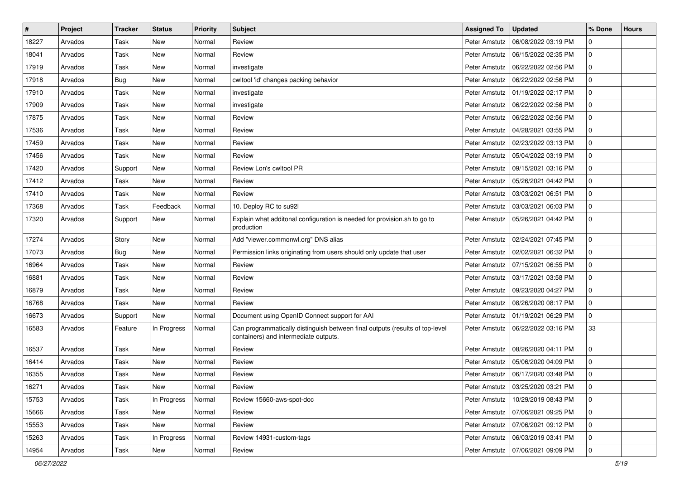| $\sharp$ | Project | <b>Tracker</b> | <b>Status</b> | Priority | Subject                                                                                                               | <b>Assigned To</b> | <b>Updated</b>                      | % Done         | <b>Hours</b> |
|----------|---------|----------------|---------------|----------|-----------------------------------------------------------------------------------------------------------------------|--------------------|-------------------------------------|----------------|--------------|
| 18227    | Arvados | Task           | <b>New</b>    | Normal   | Review                                                                                                                | Peter Amstutz      | 06/08/2022 03:19 PM                 | 0              |              |
| 18041    | Arvados | Task           | <b>New</b>    | Normal   | Review                                                                                                                | Peter Amstutz      | 06/15/2022 02:35 PM                 | 0              |              |
| 17919    | Arvados | Task           | New           | Normal   | investigate                                                                                                           | Peter Amstutz      | 06/22/2022 02:56 PM                 | $\mathbf 0$    |              |
| 17918    | Arvados | Bug            | New           | Normal   | cwltool 'id' changes packing behavior                                                                                 | Peter Amstutz      | 06/22/2022 02:56 PM                 | 0              |              |
| 17910    | Arvados | Task           | <b>New</b>    | Normal   | investigate                                                                                                           | Peter Amstutz      | 01/19/2022 02:17 PM                 | 0              |              |
| 17909    | Arvados | Task           | <b>New</b>    | Normal   | investigate                                                                                                           | Peter Amstutz      | 06/22/2022 02:56 PM                 | 0              |              |
| 17875    | Arvados | Task           | <b>New</b>    | Normal   | Review                                                                                                                | Peter Amstutz      | 06/22/2022 02:56 PM                 | $\mathbf 0$    |              |
| 17536    | Arvados | Task           | New           | Normal   | Review                                                                                                                | Peter Amstutz      | 04/28/2021 03:55 PM                 | 0              |              |
| 17459    | Arvados | Task           | <b>New</b>    | Normal   | Review                                                                                                                | Peter Amstutz      | 02/23/2022 03:13 PM                 | 0              |              |
| 17456    | Arvados | Task           | <b>New</b>    | Normal   | Review                                                                                                                | Peter Amstutz      | 05/04/2022 03:19 PM                 | $\mathbf 0$    |              |
| 17420    | Arvados | Support        | New           | Normal   | Review Lon's cwltool PR                                                                                               | Peter Amstutz      | 09/15/2021 03:16 PM                 | 0              |              |
| 17412    | Arvados | Task           | New           | Normal   | Review                                                                                                                | Peter Amstutz      | 05/26/2021 04:42 PM                 | 0              |              |
| 17410    | Arvados | Task           | <b>New</b>    | Normal   | Review                                                                                                                | Peter Amstutz      | 03/03/2021 06:51 PM                 | 0              |              |
| 17368    | Arvados | Task           | Feedback      | Normal   | 10. Deploy RC to su92l                                                                                                | Peter Amstutz      | 03/03/2021 06:03 PM                 | $\mathbf 0$    |              |
| 17320    | Arvados | Support        | New           | Normal   | Explain what additonal configuration is needed for provision.sh to go to<br>production                                | Peter Amstutz      | 05/26/2021 04:42 PM                 | $\mathbf 0$    |              |
| 17274    | Arvados | Story          | <b>New</b>    | Normal   | Add "viewer.commonwl.org" DNS alias                                                                                   | Peter Amstutz      | 02/24/2021 07:45 PM                 | $\mathbf 0$    |              |
| 17073    | Arvados | Bug            | <b>New</b>    | Normal   | Permission links originating from users should only update that user                                                  | Peter Amstutz      | 02/02/2021 06:32 PM                 | $\mathbf 0$    |              |
| 16964    | Arvados | Task           | <b>New</b>    | Normal   | Review                                                                                                                | Peter Amstutz      | 07/15/2021 06:55 PM                 | 0              |              |
| 16881    | Arvados | Task           | New           | Normal   | Review                                                                                                                | Peter Amstutz      | 03/17/2021 03:58 PM                 | 0              |              |
| 16879    | Arvados | Task           | New           | Normal   | Review                                                                                                                | Peter Amstutz      | 09/23/2020 04:27 PM                 | 0              |              |
| 16768    | Arvados | Task           | <b>New</b>    | Normal   | Review                                                                                                                | Peter Amstutz      | 08/26/2020 08:17 PM                 | 0              |              |
| 16673    | Arvados | Support        | <b>New</b>    | Normal   | Document using OpenID Connect support for AAI                                                                         | Peter Amstutz      | 01/19/2021 06:29 PM                 | $\mathbf 0$    |              |
| 16583    | Arvados | Feature        | In Progress   | Normal   | Can programmatically distinguish between final outputs (results of top-level<br>containers) and intermediate outputs. | Peter Amstutz      | 06/22/2022 03:16 PM                 | 33             |              |
| 16537    | Arvados | Task           | <b>New</b>    | Normal   | Review                                                                                                                | Peter Amstutz      | 08/26/2020 04:11 PM                 | $\mathbf 0$    |              |
| 16414    | Arvados | Task           | <b>New</b>    | Normal   | Review                                                                                                                | Peter Amstutz      | 05/06/2020 04:09 PM                 | $\mathbf 0$    |              |
| 16355    | Arvados | Task           | <b>New</b>    | Normal   | Review                                                                                                                | Peter Amstutz      | 06/17/2020 03:48 PM                 | 0              |              |
| 16271    | Arvados | Task           | l New         | Normal   | Review                                                                                                                |                    | Peter Amstutz   03/25/2020 03:21 PM | l 0            |              |
| 15753    | Arvados | Task           | In Progress   | Normal   | Review 15660-aws-spot-doc                                                                                             | Peter Amstutz      | 10/29/2019 08:43 PM                 | 0              |              |
| 15666    | Arvados | Task           | <b>New</b>    | Normal   | Review                                                                                                                | Peter Amstutz      | 07/06/2021 09:25 PM                 | $\overline{0}$ |              |
| 15553    | Arvados | Task           | New           | Normal   | Review                                                                                                                | Peter Amstutz      | 07/06/2021 09:12 PM                 | $\mathbf 0$    |              |
| 15263    | Arvados | Task           | In Progress   | Normal   | Review 14931-custom-tags                                                                                              | Peter Amstutz      | 06/03/2019 03:41 PM                 | 0              |              |
| 14954    | Arvados | Task           | New           | Normal   | Review                                                                                                                |                    | Peter Amstutz   07/06/2021 09:09 PM | $\mathbf 0$    |              |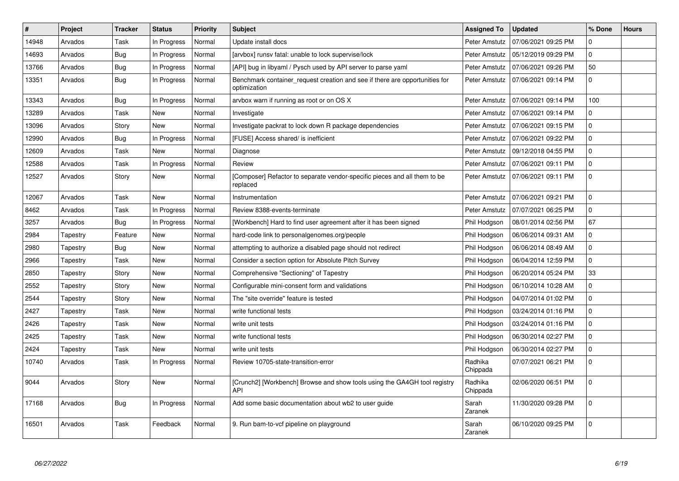| $\vert$ # | Project  | <b>Tracker</b> | <b>Status</b> | Priority | <b>Subject</b>                                                                              | <b>Assigned To</b>  | <b>Updated</b>      | % Done         | <b>Hours</b> |
|-----------|----------|----------------|---------------|----------|---------------------------------------------------------------------------------------------|---------------------|---------------------|----------------|--------------|
| 14948     | Arvados  | Task           | In Progress   | Normal   | Update install docs                                                                         | Peter Amstutz       | 07/06/2021 09:25 PM | 0              |              |
| 14693     | Arvados  | <b>Bug</b>     | In Progress   | Normal   | [arvbox] runsv fatal: unable to lock supervise/lock                                         | Peter Amstutz       | 05/12/2019 09:29 PM | $\overline{0}$ |              |
| 13766     | Arvados  | Bug            | In Progress   | Normal   | [API] bug in libyaml / Pysch used by API server to parse yaml                               | Peter Amstutz       | 07/06/2021 09:26 PM | 50             |              |
| 13351     | Arvados  | <b>Bug</b>     | In Progress   | Normal   | Benchmark container_request creation and see if there are opportunities for<br>optimization | Peter Amstutz       | 07/06/2021 09:14 PM | 0              |              |
| 13343     | Arvados  | <b>Bug</b>     | In Progress   | Normal   | arvbox warn if running as root or on OS X                                                   | Peter Amstutz       | 07/06/2021 09:14 PM | 100            |              |
| 13289     | Arvados  | Task           | New           | Normal   | Investigate                                                                                 | Peter Amstutz       | 07/06/2021 09:14 PM | 0              |              |
| 13096     | Arvados  | Story          | <b>New</b>    | Normal   | Investigate packrat to lock down R package dependencies                                     | Peter Amstutz       | 07/06/2021 09:15 PM | 0              |              |
| 12990     | Arvados  | Bug            | In Progress   | Normal   | [FUSE] Access shared/ is inefficient                                                        | Peter Amstutz       | 07/06/2021 09:22 PM | 0              |              |
| 12609     | Arvados  | Task           | New           | Normal   | Diagnose                                                                                    | Peter Amstutz       | 09/12/2018 04:55 PM | 0              |              |
| 12588     | Arvados  | Task           | In Progress   | Normal   | Review                                                                                      | Peter Amstutz       | 07/06/2021 09:11 PM | 0              |              |
| 12527     | Arvados  | Story          | <b>New</b>    | Normal   | [Composer] Refactor to separate vendor-specific pieces and all them to be<br>replaced       | Peter Amstutz       | 07/06/2021 09:11 PM | $\Omega$       |              |
| 12067     | Arvados  | Task           | <b>New</b>    | Normal   | Instrumentation                                                                             | Peter Amstutz       | 07/06/2021 09:21 PM | 0              |              |
| 8462      | Arvados  | Task           | In Progress   | Normal   | Review 8388-events-terminate                                                                | Peter Amstutz       | 07/07/2021 06:25 PM | 0              |              |
| 3257      | Arvados  | Bug            | In Progress   | Normal   | [Workbench] Hard to find user agreement after it has been signed                            | Phil Hodgson        | 08/01/2014 02:56 PM | 67             |              |
| 2984      | Tapestry | Feature        | New           | Normal   | hard-code link to personalgenomes.org/people                                                | Phil Hodgson        | 06/06/2014 09:31 AM | 0              |              |
| 2980      | Tapestry | <b>Bug</b>     | <b>New</b>    | Normal   | attempting to authorize a disabled page should not redirect                                 | Phil Hodgson        | 06/06/2014 08:49 AM | $\overline{0}$ |              |
| 2966      | Tapestry | Task           | <b>New</b>    | Normal   | Consider a section option for Absolute Pitch Survey                                         | Phil Hodgson        | 06/04/2014 12:59 PM | 0              |              |
| 2850      | Tapestry | Story          | New           | Normal   | Comprehensive "Sectioning" of Tapestry                                                      | Phil Hodgson        | 06/20/2014 05:24 PM | 33             |              |
| 2552      | Tapestry | Story          | <b>New</b>    | Normal   | Configurable mini-consent form and validations                                              | Phil Hodgson        | 06/10/2014 10:28 AM | 0              |              |
| 2544      | Tapestry | Story          | <b>New</b>    | Normal   | The "site override" feature is tested                                                       | Phil Hodgson        | 04/07/2014 01:02 PM | 0              |              |
| 2427      | Tapestry | Task           | <b>New</b>    | Normal   | write functional tests                                                                      | Phil Hodgson        | 03/24/2014 01:16 PM | 0              |              |
| 2426      | Tapestry | Task           | <b>New</b>    | Normal   | write unit tests                                                                            | Phil Hodgson        | 03/24/2014 01:16 PM | 0              |              |
| 2425      | Tapestry | Task           | <b>New</b>    | Normal   | write functional tests                                                                      | Phil Hodgson        | 06/30/2014 02:27 PM | 0              |              |
| 2424      | Tapestry | Task           | <b>New</b>    | Normal   | write unit tests                                                                            | Phil Hodgson        | 06/30/2014 02:27 PM | 0              |              |
| 10740     | Arvados  | Task           | In Progress   | Normal   | Review 10705-state-transition-error                                                         | Radhika<br>Chippada | 07/07/2021 06:21 PM | 0              |              |
| 9044      | Arvados  | Story          | New           | Normal   | [Crunch2] [Workbench] Browse and show tools using the GA4GH tool registry<br>API            | Radhika<br>Chippada | 02/06/2020 06:51 PM | $\Omega$       |              |
| 17168     | Arvados  | <b>Bug</b>     | In Progress   | Normal   | Add some basic documentation about wb2 to user guide                                        | Sarah<br>Zaranek    | 11/30/2020 09:28 PM | 0              |              |
| 16501     | Arvados  | Task           | Feedback      | Normal   | 9. Run bam-to-vcf pipeline on playground                                                    | Sarah<br>Zaranek    | 06/10/2020 09:25 PM | 0              |              |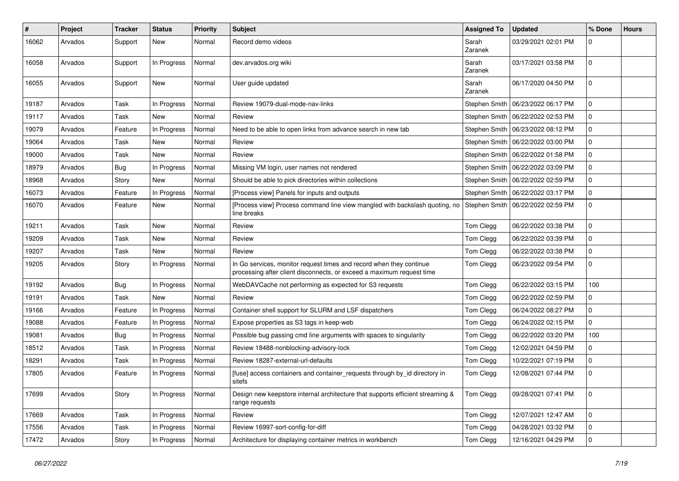| ∦     | Project | <b>Tracker</b> | <b>Status</b> | Priority | <b>Subject</b>                                                                                                                               | <b>Assigned To</b> | <b>Updated</b>                      | % Done       | <b>Hours</b> |
|-------|---------|----------------|---------------|----------|----------------------------------------------------------------------------------------------------------------------------------------------|--------------------|-------------------------------------|--------------|--------------|
| 16062 | Arvados | Support        | New           | Normal   | Record demo videos                                                                                                                           | Sarah<br>Zaranek   | 03/29/2021 02:01 PM                 | 0            |              |
| 16058 | Arvados | Support        | In Progress   | Normal   | dev.arvados.org wiki                                                                                                                         | Sarah<br>Zaranek   | 03/17/2021 03:58 PM                 | 0            |              |
| 16055 | Arvados | Support        | New           | Normal   | User guide updated                                                                                                                           | Sarah<br>Zaranek   | 06/17/2020 04:50 PM                 | 0            |              |
| 19187 | Arvados | Task           | In Progress   | Normal   | Review 19079-dual-mode-nav-links                                                                                                             | Stephen Smith      | 06/23/2022 06:17 PM                 | 0            |              |
| 19117 | Arvados | Task           | <b>New</b>    | Normal   | Review                                                                                                                                       |                    | Stephen Smith   06/22/2022 02:53 PM | 0            |              |
| 19079 | Arvados | Feature        | In Progress   | Normal   | Need to be able to open links from advance search in new tab                                                                                 | Stephen Smith      | 06/23/2022 08:12 PM                 | 0            |              |
| 19064 | Arvados | Task           | <b>New</b>    | Normal   | Review                                                                                                                                       | Stephen Smith      | 06/22/2022 03:00 PM                 | 0            |              |
| 19000 | Arvados | Task           | New           | Normal   | Review                                                                                                                                       | Stephen Smith      | 06/22/2022 01:58 PM                 | 0            |              |
| 18979 | Arvados | Bug            | In Progress   | Normal   | Missing VM login, user names not rendered                                                                                                    | Stephen Smith      | 06/22/2022 03:09 PM                 | 0            |              |
| 18968 | Arvados | Story          | <b>New</b>    | Normal   | Should be able to pick directories within collections                                                                                        |                    | Stephen Smith   06/22/2022 02:59 PM | 0            |              |
| 16073 | Arvados | Feature        | In Progress   | Normal   | [Process view] Panels for inputs and outputs                                                                                                 |                    | Stephen Smith   06/22/2022 03:17 PM | 0            |              |
| 16070 | Arvados | Feature        | New           | Normal   | [Process view] Process command line view mangled with backslash quoting, no<br>line breaks                                                   | Stephen Smith      | 06/22/2022 02:59 PM                 | 0            |              |
| 19211 | Arvados | Task           | <b>New</b>    | Normal   | Review                                                                                                                                       | Tom Clegg          | 06/22/2022 03:38 PM                 | 0            |              |
| 19209 | Arvados | Task           | <b>New</b>    | Normal   | Review                                                                                                                                       | Tom Clegg          | 06/22/2022 03:39 PM                 | 0            |              |
| 19207 | Arvados | Task           | <b>New</b>    | Normal   | Review                                                                                                                                       | Tom Clegg          | 06/22/2022 03:38 PM                 | 0            |              |
| 19205 | Arvados | Story          | In Progress   | Normal   | In Go services, monitor request times and record when they continue<br>processing after client disconnects, or exceed a maximum request time | Tom Clegg          | 06/23/2022 09:54 PM                 | 0            |              |
| 19192 | Arvados | Bug            | In Progress   | Normal   | WebDAVCache not performing as expected for S3 requests                                                                                       | Tom Clegg          | 06/22/2022 03:15 PM                 | 100          |              |
| 19191 | Arvados | Task           | <b>New</b>    | Normal   | Review                                                                                                                                       | Tom Clegg          | 06/22/2022 02:59 PM                 | 0            |              |
| 19166 | Arvados | Feature        | In Progress   | Normal   | Container shell support for SLURM and LSF dispatchers                                                                                        | Tom Clegg          | 06/24/2022 08:27 PM                 | $\mathbf{0}$ |              |
| 19088 | Arvados | Feature        | In Progress   | Normal   | Expose properties as S3 tags in keep-web                                                                                                     | Tom Clegg          | 06/24/2022 02:15 PM                 | 0            |              |
| 19081 | Arvados | Bug            | In Progress   | Normal   | Possible bug passing cmd line arguments with spaces to singularity                                                                           | Tom Clegg          | 06/22/2022 03:20 PM                 | 100          |              |
| 18512 | Arvados | Task           | In Progress   | Normal   | Review 18488-nonblocking-advisory-lock                                                                                                       | Tom Clegg          | 12/02/2021 04:59 PM                 | 0            |              |
| 18291 | Arvados | Task           | In Progress   | Normal   | Review 18287-external-url-defaults                                                                                                           | Tom Clegg          | 10/22/2021 07:19 PM                 | 0            |              |
| 17805 | Arvados | Feature        | In Progress   | Normal   | [fuse] access containers and container requests through by id directory in<br>sitefs                                                         | Tom Clegg          | 12/08/2021 07:44 PM                 | 0            |              |
| 17699 | Arvados | Story          | In Progress   | Normal   | Design new keepstore internal architecture that supports efficient streaming &<br>range requests                                             | Tom Clegg          | 09/28/2021 07:41 PM                 | $\mathbf 0$  |              |
| 17669 | Arvados | Task           | In Progress   | Normal   | Review                                                                                                                                       | Tom Clegg          | 12/07/2021 12:47 AM                 | 0            |              |
| 17556 | Arvados | Task           | In Progress   | Normal   | Review 16997-sort-config-for-diff                                                                                                            | Tom Clegg          | 04/28/2021 03:32 PM                 | $\mathbf{0}$ |              |
| 17472 | Arvados | Story          | In Progress   | Normal   | Architecture for displaying container metrics in workbench                                                                                   | Tom Clegg          | 12/16/2021 04:29 PM                 | 0            |              |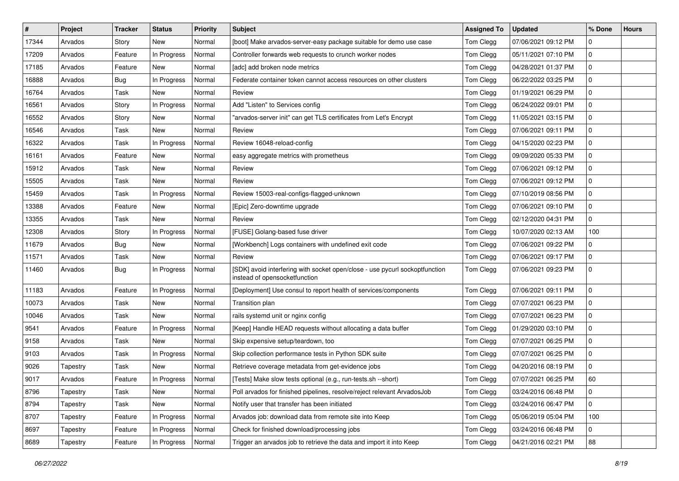| $\vert$ # | Project  | <b>Tracker</b> | <b>Status</b> | <b>Priority</b> | <b>Subject</b>                                                                                               | <b>Assigned To</b> | <b>Updated</b>      | % Done | <b>Hours</b> |
|-----------|----------|----------------|---------------|-----------------|--------------------------------------------------------------------------------------------------------------|--------------------|---------------------|--------|--------------|
| 17344     | Arvados  | Story          | <b>New</b>    | Normal          | [boot] Make arvados-server-easy package suitable for demo use case                                           | Tom Clegg          | 07/06/2021 09:12 PM | 0      |              |
| 17209     | Arvados  | Feature        | In Progress   | Normal          | Controller forwards web requests to crunch worker nodes                                                      | Tom Clegg          | 05/11/2021 07:10 PM | 0      |              |
| 17185     | Arvados  | Feature        | New           | Normal          | [adc] add broken node metrics                                                                                | Tom Clegg          | 04/28/2021 01:37 PM | 0      |              |
| 16888     | Arvados  | Bug            | In Progress   | Normal          | Federate container token cannot access resources on other clusters                                           | Tom Clegg          | 06/22/2022 03:25 PM | 0      |              |
| 16764     | Arvados  | Task           | <b>New</b>    | Normal          | Review                                                                                                       | Tom Clegg          | 01/19/2021 06:29 PM | 0      |              |
| 16561     | Arvados  | Story          | In Progress   | Normal          | Add "Listen" to Services config                                                                              | Tom Clegg          | 06/24/2022 09:01 PM | 0      |              |
| 16552     | Arvados  | Story          | New           | Normal          | "arvados-server init" can get TLS certificates from Let's Encrypt                                            | Tom Clegg          | 11/05/2021 03:15 PM | 0      |              |
| 16546     | Arvados  | Task           | New           | Normal          | Review                                                                                                       | Tom Clegg          | 07/06/2021 09:11 PM | 0      |              |
| 16322     | Arvados  | Task           | In Progress   | Normal          | Review 16048-reload-config                                                                                   | Tom Clegg          | 04/15/2020 02:23 PM | 0      |              |
| 16161     | Arvados  | Feature        | New           | Normal          | easy aggregate metrics with prometheus                                                                       | Tom Clegg          | 09/09/2020 05:33 PM | 0      |              |
| 15912     | Arvados  | Task           | New           | Normal          | Review                                                                                                       | Tom Clegg          | 07/06/2021 09:12 PM | 0      |              |
| 15505     | Arvados  | Task           | New           | Normal          | Review                                                                                                       | Tom Clegg          | 07/06/2021 09:12 PM | 0      |              |
| 15459     | Arvados  | Task           | In Progress   | Normal          | Review 15003-real-configs-flagged-unknown                                                                    | Tom Clegg          | 07/10/2019 08:56 PM | 0      |              |
| 13388     | Arvados  | Feature        | New           | Normal          | [Epic] Zero-downtime upgrade                                                                                 | Tom Clegg          | 07/06/2021 09:10 PM | 0      |              |
| 13355     | Arvados  | Task           | <b>New</b>    | Normal          | Review                                                                                                       | Tom Clegg          | 02/12/2020 04:31 PM | 0      |              |
| 12308     | Arvados  | Story          | In Progress   | Normal          | [FUSE] Golang-based fuse driver                                                                              | Tom Clegg          | 10/07/2020 02:13 AM | 100    |              |
| 11679     | Arvados  | <b>Bug</b>     | New           | Normal          | [Workbench] Logs containers with undefined exit code                                                         | Tom Clegg          | 07/06/2021 09:22 PM | 0      |              |
| 11571     | Arvados  | Task           | <b>New</b>    | Normal          | Review                                                                                                       | Tom Clegg          | 07/06/2021 09:17 PM | 0      |              |
| 11460     | Arvados  | Bug            | In Progress   | Normal          | [SDK] avoid interfering with socket open/close - use pycurl sockoptfunction<br>instead of opensocketfunction | Tom Clegg          | 07/06/2021 09:23 PM | 0      |              |
| 11183     | Arvados  | Feature        | In Progress   | Normal          | [Deployment] Use consul to report health of services/components                                              | Tom Clegg          | 07/06/2021 09:11 PM | 0      |              |
| 10073     | Arvados  | Task           | <b>New</b>    | Normal          | Transition plan                                                                                              | Tom Clegg          | 07/07/2021 06:23 PM | 0      |              |
| 10046     | Arvados  | Task           | <b>New</b>    | Normal          | rails systemd unit or nginx config                                                                           | Tom Clegg          | 07/07/2021 06:23 PM | 0      |              |
| 9541      | Arvados  | Feature        | In Progress   | Normal          | [Keep] Handle HEAD requests without allocating a data buffer                                                 | Tom Clegg          | 01/29/2020 03:10 PM | 0      |              |
| 9158      | Arvados  | Task           | New           | Normal          | Skip expensive setup/teardown, too                                                                           | Tom Clegg          | 07/07/2021 06:25 PM | 0      |              |
| 9103      | Arvados  | Task           | In Progress   | Normal          | Skip collection performance tests in Python SDK suite                                                        | Tom Clegg          | 07/07/2021 06:25 PM | 0      |              |
| 9026      | Tapestry | Task           | New           | Normal          | Retrieve coverage metadata from get-evidence jobs                                                            | Tom Clegg          | 04/20/2016 08:19 PM | 0      |              |
| 9017      | Arvados  | Feature        | In Progress   | Normal          | [Tests] Make slow tests optional (e.g., run-tests.sh --short)                                                | Tom Clegg          | 07/07/2021 06:25 PM | 60     |              |
| 8796      | Tapestry | Task           | New           | Normal          | Poll arvados for finished pipelines, resolve/reject relevant ArvadosJob                                      | Tom Clegg          | 03/24/2016 06:48 PM | 0      |              |
| 8794      | Tapestry | Task           | New           | Normal          | Notify user that transfer has been initiated                                                                 | Tom Clegg          | 03/24/2016 06:47 PM | 0      |              |
| 8707      | Tapestry | Feature        | In Progress   | Normal          | Arvados job: download data from remote site into Keep                                                        | Tom Clegg          | 05/06/2019 05:04 PM | 100    |              |
| 8697      | Tapestry | Feature        | In Progress   | Normal          | Check for finished download/processing jobs                                                                  | Tom Clegg          | 03/24/2016 06:48 PM | 0      |              |
| 8689      | Tapestry | Feature        | In Progress   | Normal          | Trigger an arvados job to retrieve the data and import it into Keep                                          | Tom Clegg          | 04/21/2016 02:21 PM | 88     |              |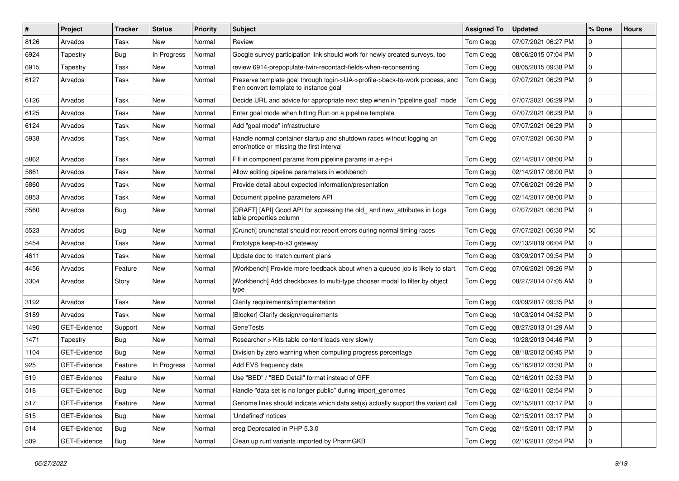| $\sharp$ | Project      | <b>Tracker</b> | <b>Status</b> | <b>Priority</b> | <b>Subject</b>                                                                                                         | <b>Assigned To</b> | <b>Updated</b>      | % Done      | <b>Hours</b> |
|----------|--------------|----------------|---------------|-----------------|------------------------------------------------------------------------------------------------------------------------|--------------------|---------------------|-------------|--------------|
| 8126     | Arvados      | Task           | New           | Normal          | Review                                                                                                                 | Tom Clegg          | 07/07/2021 06:27 PM | 0           |              |
| 6924     | Tapestry     | <b>Bug</b>     | In Progress   | Normal          | Google survey participation link should work for newly created surveys, too                                            | Tom Clegg          | 08/06/2015 07:04 PM | 0           |              |
| 6915     | Tapestry     | Task           | New           | Normal          | review 6914-prepopulate-twin-recontact-fields-when-reconsenting                                                        | Tom Clegg          | 08/05/2015 09:38 PM | 0           |              |
| 6127     | Arvados      | Task           | New           | Normal          | Preserve template goal through login->UA->profile->back-to-work process, and<br>then convert template to instance goal | Tom Clegg          | 07/07/2021 06:29 PM | 0           |              |
| 6126     | Arvados      | Task           | New           | Normal          | Decide URL and advice for appropriate next step when in "pipeline goal" mode                                           | Tom Clegg          | 07/07/2021 06:29 PM | $\mathbf 0$ |              |
| 6125     | Arvados      | Task           | <b>New</b>    | Normal          | Enter goal mode when hitting Run on a pipeline template                                                                | Tom Clegg          | 07/07/2021 06:29 PM | $\mathbf 0$ |              |
| 6124     | Arvados      | Task           | <b>New</b>    | Normal          | Add "goal mode" infrastructure                                                                                         | Tom Clegg          | 07/07/2021 06:29 PM | 0           |              |
| 5938     | Arvados      | Task           | New           | Normal          | Handle normal container startup and shutdown races without logging an<br>error/notice or missing the first interval    | Tom Clegg          | 07/07/2021 06:30 PM | 0           |              |
| 5862     | Arvados      | Task           | New           | Normal          | Fill in component params from pipeline params in a-r-p-i                                                               | Tom Clegg          | 02/14/2017 08:00 PM | 0           |              |
| 5861     | Arvados      | Task           | <b>New</b>    | Normal          | Allow editing pipeline parameters in workbench                                                                         | Tom Clegg          | 02/14/2017 08:00 PM | 0           |              |
| 5860     | Arvados      | Task           | <b>New</b>    | Normal          | Provide detail about expected information/presentation                                                                 | Tom Clegg          | 07/06/2021 09:26 PM | 0           |              |
| 5853     | Arvados      | Task           | <b>New</b>    | Normal          | Document pipeline parameters API                                                                                       | Tom Clegg          | 02/14/2017 08:00 PM | 0           |              |
| 5560     | Arvados      | Bug            | New           | Normal          | [DRAFT] [API] Good API for accessing the old_ and new_attributes in Logs<br>table properties column                    | Tom Clegg          | 07/07/2021 06:30 PM | 0           |              |
| 5523     | Arvados      | Bug            | <b>New</b>    | Normal          | [Crunch] crunchstat should not report errors during normal timing races                                                | Tom Clegg          | 07/07/2021 06:30 PM | 50          |              |
| 5454     | Arvados      | Task           | <b>New</b>    | Normal          | Prototype keep-to-s3 gateway                                                                                           | Tom Clegg          | 02/13/2019 06:04 PM | 0           |              |
| 4611     | Arvados      | Task           | New           | Normal          | Update doc to match current plans                                                                                      | Tom Clegg          | 03/09/2017 09:54 PM | 0           |              |
| 4456     | Arvados      | Feature        | <b>New</b>    | Normal          | [Workbench] Provide more feedback about when a queued job is likely to start.                                          | Tom Clegg          | 07/06/2021 09:26 PM | 0           |              |
| 3304     | Arvados      | Story          | <b>New</b>    | Normal          | [Workbench] Add checkboxes to multi-type chooser modal to filter by object<br>type                                     | Tom Clegg          | 08/27/2014 07:05 AM | 0           |              |
| 3192     | Arvados      | Task           | <b>New</b>    | Normal          | Clarify requirements/implementation                                                                                    | Tom Clegg          | 03/09/2017 09:35 PM | 0           |              |
| 3189     | Arvados      | Task           | <b>New</b>    | Normal          | [Blocker] Clarify design/requirements                                                                                  | Tom Clegg          | 10/03/2014 04:52 PM | 0           |              |
| 1490     | GET-Evidence | Support        | <b>New</b>    | Normal          | <b>GeneTests</b>                                                                                                       | Tom Clegg          | 08/27/2013 01:29 AM | 0           |              |
| 1471     | Tapestry     | Bug            | <b>New</b>    | Normal          | Researcher > Kits table content loads very slowly                                                                      | Tom Clegg          | 10/28/2013 04:46 PM | 0           |              |
| 1104     | GET-Evidence | Bug            | New           | Normal          | Division by zero warning when computing progress percentage                                                            | Tom Clegg          | 08/18/2012 06:45 PM | $\mathbf 0$ |              |
| 925      | GET-Evidence | Feature        | In Progress   | Normal          | Add EVS frequency data                                                                                                 | Tom Clegg          | 05/16/2012 03:30 PM | 0           |              |
| 519      | GET-Evidence | Feature        | <b>New</b>    | Normal          | Use "BED" / "BED Detail" format instead of GFF                                                                         | Tom Clegg          | 02/16/2011 02:53 PM | 0           |              |
| 518      | GET-Evidence | <b>Bug</b>     | New           | Normal          | Handle "data set is no longer public" during import_genomes                                                            | Tom Clegg          | 02/16/2011 02:54 PM | 0           |              |
| 517      | GET-Evidence | Feature        | New           | Normal          | Genome links should indicate which data set(s) actually support the variant call                                       | Tom Clegg          | 02/15/2011 03:17 PM | 0           |              |
| 515      | GET-Evidence | Bug            | New           | Normal          | 'Undefined' notices                                                                                                    | Tom Clegg          | 02/15/2011 03:17 PM | $\mathbf 0$ |              |
| 514      | GET-Evidence | <b>Bug</b>     | New           | Normal          | ereg Deprecated in PHP 5.3.0                                                                                           | Tom Clegg          | 02/15/2011 03:17 PM | 0           |              |
| 509      | GET-Evidence | Bug            | New           | Normal          | Clean up runt variants imported by PharmGKB                                                                            | Tom Clegg          | 02/16/2011 02:54 PM | 0           |              |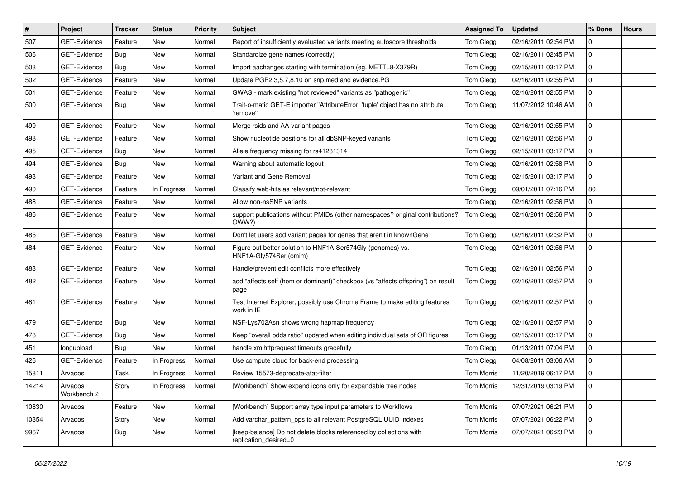| $\vert$ # | Project                | <b>Tracker</b> | <b>Status</b> | <b>Priority</b> | <b>Subject</b>                                                                              | <b>Assigned To</b> | <b>Updated</b>      | % Done       | <b>Hours</b> |
|-----------|------------------------|----------------|---------------|-----------------|---------------------------------------------------------------------------------------------|--------------------|---------------------|--------------|--------------|
| 507       | <b>GET-Evidence</b>    | Feature        | New           | Normal          | Report of insufficiently evaluated variants meeting autoscore thresholds                    | Tom Clegg          | 02/16/2011 02:54 PM | 0            |              |
| 506       | GET-Evidence           | Bug            | New           | Normal          | Standardize gene names (correctly)                                                          | Tom Clegg          | 02/16/2011 02:45 PM | 0            |              |
| 503       | GET-Evidence           | Bug            | New           | Normal          | Import aachanges starting with termination (eg. METTL8-X379R)                               | Tom Clegg          | 02/15/2011 03:17 PM | 0            |              |
| 502       | <b>GET-Evidence</b>    | Feature        | New           | Normal          | Update PGP2,3,5,7,8,10 on snp.med and evidence.PG                                           | Tom Clegg          | 02/16/2011 02:55 PM | 0            |              |
| 501       | GET-Evidence           | Feature        | <b>New</b>    | Normal          | GWAS - mark existing "not reviewed" variants as "pathogenic"                                | Tom Clegg          | 02/16/2011 02:55 PM | 0            |              |
| 500       | GET-Evidence           | Bug            | New           | Normal          | Trait-o-matic GET-E importer "AttributeError: 'tuple' object has no attribute<br>'remove'"  | Tom Clegg          | 11/07/2012 10:46 AM | 0            |              |
| 499       | <b>GET-Evidence</b>    | Feature        | <b>New</b>    | Normal          | Merge rsids and AA-variant pages                                                            | Tom Clegg          | 02/16/2011 02:55 PM | 0            |              |
| 498       | GET-Evidence           | Feature        | New           | Normal          | Show nucleotide positions for all dbSNP-keyed variants                                      | Tom Clegg          | 02/16/2011 02:56 PM | 0            |              |
| 495       | GET-Evidence           | Bug            | <b>New</b>    | Normal          | Allele frequency missing for rs41281314                                                     | Tom Clegg          | 02/15/2011 03:17 PM | 0            |              |
| 494       | GET-Evidence           | Bug            | New           | Normal          | Warning about automatic logout                                                              | Tom Clegg          | 02/16/2011 02:58 PM | 0            |              |
| 493       | <b>GET-Evidence</b>    | Feature        | New           | Normal          | Variant and Gene Removal                                                                    | Tom Clegg          | 02/15/2011 03:17 PM | 0            |              |
| 490       | GET-Evidence           | Feature        | In Progress   | Normal          | Classify web-hits as relevant/not-relevant                                                  | Tom Clegg          | 09/01/2011 07:16 PM | 80           |              |
| 488       | <b>GET-Evidence</b>    | Feature        | New           | Normal          | Allow non-nsSNP variants                                                                    | Tom Clegg          | 02/16/2011 02:56 PM | 0            |              |
| 486       | GET-Evidence           | Feature        | New           | Normal          | support publications without PMIDs (other namespaces? original contributions?<br>OWW?)      | Tom Clegg          | 02/16/2011 02:56 PM | 0            |              |
| 485       | GET-Evidence           | Feature        | <b>New</b>    | Normal          | Don't let users add variant pages for genes that aren't in knownGene                        | Tom Clegg          | 02/16/2011 02:32 PM | 0            |              |
| 484       | <b>GET-Evidence</b>    | Feature        | New           | Normal          | Figure out better solution to HNF1A-Ser574Gly (genomes) vs.<br>HNF1A-Gly574Ser (omim)       | Tom Clegg          | 02/16/2011 02:56 PM | 0            |              |
| 483       | <b>GET-Evidence</b>    | Feature        | <b>New</b>    | Normal          | Handle/prevent edit conflicts more effectively                                              | Tom Clegg          | 02/16/2011 02:56 PM | 0            |              |
| 482       | <b>GET-Evidence</b>    | Feature        | New           | Normal          | add "affects self (hom or dominant)" checkbox (vs "affects offspring") on result<br>page    | Tom Clegg          | 02/16/2011 02:57 PM | 0            |              |
| 481       | <b>GET-Evidence</b>    | Feature        | New           | Normal          | Test Internet Explorer, possibly use Chrome Frame to make editing features<br>work in IE    | Tom Clegg          | 02/16/2011 02:57 PM | 0            |              |
| 479       | GET-Evidence           | Bug            | <b>New</b>    | Normal          | NSF-Lys702Asn shows wrong hapmap frequency                                                  | Tom Clegg          | 02/16/2011 02:57 PM | 0            |              |
| 478       | <b>GET-Evidence</b>    | Bug            | <b>New</b>    | Normal          | Keep "overall odds ratio" updated when editing individual sets of OR figures                | Tom Clegg          | 02/15/2011 03:17 PM | 0            |              |
| 451       | longupload             | Bug            | New           | Normal          | handle xmlhttprequest timeouts gracefully                                                   | Tom Clegg          | 01/13/2011 07:04 PM | 0            |              |
| 426       | <b>GET-Evidence</b>    | Feature        | In Progress   | Normal          | Use compute cloud for back-end processing                                                   | Tom Clegg          | 04/08/2011 03:06 AM | 0            |              |
| 15811     | Arvados                | Task           | In Progress   | Normal          | Review 15573-deprecate-atat-filter                                                          | <b>Tom Morris</b>  | 11/20/2019 06:17 PM | 0            |              |
| 14214     | Arvados<br>Workbench 2 | Story          | In Progress   | Normal          | [Workbench] Show expand icons only for expandable tree nodes                                | Tom Morris         | 12/31/2019 03:19 PM | l 0          |              |
| 10830     | Arvados                | Feature        | <b>New</b>    | Normal          | [Workbench] Support array type input parameters to Workflows                                | <b>Tom Morris</b>  | 07/07/2021 06:21 PM | $\mathsf{O}$ |              |
| 10354     | Arvados                | Story          | New           | Normal          | Add varchar_pattern_ops to all relevant PostgreSQL UUID indexes                             | <b>Tom Morris</b>  | 07/07/2021 06:22 PM | 0            |              |
| 9967      | Arvados                | <b>Bug</b>     | New           | Normal          | [keep-balance] Do not delete blocks referenced by collections with<br>replication desired=0 | <b>Tom Morris</b>  | 07/07/2021 06:23 PM | 0            |              |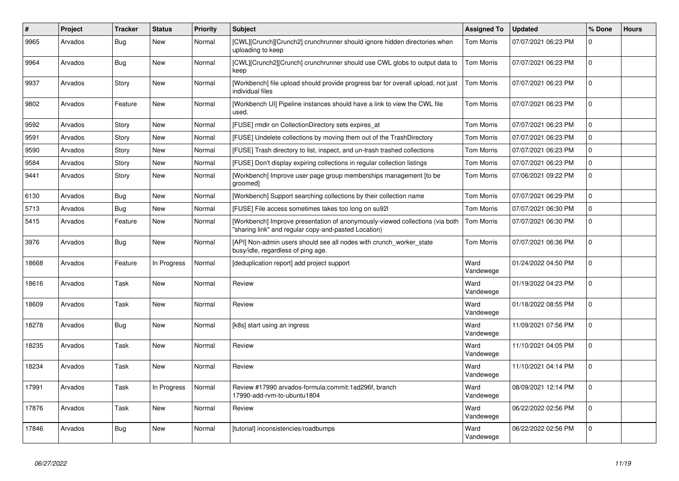| $\#$  | Project | <b>Tracker</b> | <b>Status</b> | Priority | <b>Subject</b>                                                                                                                       | <b>Assigned To</b> | <b>Updated</b>      | % Done         | <b>Hours</b> |
|-------|---------|----------------|---------------|----------|--------------------------------------------------------------------------------------------------------------------------------------|--------------------|---------------------|----------------|--------------|
| 9965  | Arvados | Bug            | <b>New</b>    | Normal   | [CWL][Crunch][Crunch2] crunchrunner should ignore hidden directories when<br>uploading to keep                                       | Tom Morris         | 07/07/2021 06:23 PM | 0              |              |
| 9964  | Arvados | <b>Bug</b>     | New           | Normal   | [CWL][Crunch2][Crunch] crunchrunner should use CWL globs to output data to<br>keep                                                   | Tom Morris         | 07/07/2021 06:23 PM | $\Omega$       |              |
| 9937  | Arvados | Story          | <b>New</b>    | Normal   | [Workbench] file upload should provide progress bar for overall upload, not just<br>individual files                                 | <b>Tom Morris</b>  | 07/07/2021 06:23 PM | $\mathbf{0}$   |              |
| 9802  | Arvados | Feature        | New           | Normal   | [Workbench UI] Pipeline instances should have a link to view the CWL file<br>used.                                                   | <b>Tom Morris</b>  | 07/07/2021 06:23 PM | 0              |              |
| 9592  | Arvados | Story          | <b>New</b>    | Normal   | [FUSE] rmdir on CollectionDirectory sets expires at                                                                                  | <b>Tom Morris</b>  | 07/07/2021 06:23 PM | 0              |              |
| 9591  | Arvados | Story          | <b>New</b>    | Normal   | [FUSE] Undelete collections by moving them out of the TrashDirectory                                                                 | <b>Tom Morris</b>  | 07/07/2021 06:23 PM | 0              |              |
| 9590  | Arvados | Story          | <b>New</b>    | Normal   | [FUSE] Trash directory to list, inspect, and un-trash trashed collections                                                            | <b>Tom Morris</b>  | 07/07/2021 06:23 PM | 0              |              |
| 9584  | Arvados | Story          | <b>New</b>    | Normal   | [FUSE] Don't display expiring collections in regular collection listings                                                             | Tom Morris         | 07/07/2021 06:23 PM | $\overline{0}$ |              |
| 9441  | Arvados | Story          | <b>New</b>    | Normal   | [Workbench] Improve user page group memberships management [to be<br>groomed]                                                        | <b>Tom Morris</b>  | 07/06/2021 09:22 PM | $\mathbf 0$    |              |
| 6130  | Arvados | Bug            | <b>New</b>    | Normal   | [Workbench] Support searching collections by their collection name                                                                   | Tom Morris         | 07/07/2021 06:29 PM | 0              |              |
| 5713  | Arvados | Bug            | <b>New</b>    | Normal   | [FUSE] File access sometimes takes too long on su92l                                                                                 | Tom Morris         | 07/07/2021 06:30 PM | 0              |              |
| 5415  | Arvados | Feature        | <b>New</b>    | Normal   | [Workbench] Improve presentation of anonymously-viewed collections (via both<br>"sharing link" and regular copy-and-pasted Location) | <b>Tom Morris</b>  | 07/07/2021 06:30 PM | $\overline{0}$ |              |
| 3976  | Arvados | Bug            | <b>New</b>    | Normal   | [API] Non-admin users should see all nodes with crunch worker state<br>busy/idle, regardless of ping age.                            | <b>Tom Morris</b>  | 07/07/2021 06:36 PM | 0              |              |
| 18668 | Arvados | Feature        | In Progress   | Normal   | [deduplication report] add project support                                                                                           | Ward<br>Vandewege  | 01/24/2022 04:50 PM | $\mathbf{0}$   |              |
| 18616 | Arvados | Task           | New           | Normal   | Review                                                                                                                               | Ward<br>Vandewege  | 01/19/2022 04:23 PM | $\overline{0}$ |              |
| 18609 | Arvados | Task           | <b>New</b>    | Normal   | Review                                                                                                                               | Ward<br>Vandewege  | 01/18/2022 08:55 PM | 0              |              |
| 18278 | Arvados | Bug            | <b>New</b>    | Normal   | [k8s] start using an ingress                                                                                                         | Ward<br>Vandewege  | 11/09/2021 07:56 PM | $\mathbf{0}$   |              |
| 18235 | Arvados | Task           | New           | Normal   | Review                                                                                                                               | Ward<br>Vandewege  | 11/10/2021 04:05 PM | $\Omega$       |              |
| 18234 | Arvados | Task           | New           | Normal   | Review                                                                                                                               | Ward<br>Vandewege  | 11/10/2021 04:14 PM | 0              |              |
| 17991 | Arvados | Task           | In Progress   | Normal   | Review #17990 arvados-formula:commit:1ad296f, branch<br>17990-add-rvm-to-ubuntu1804                                                  | Ward<br>Vandewege  | 08/09/2021 12:14 PM | 0              |              |
| 17876 | Arvados | Task           | New           | Normal   | Review                                                                                                                               | Ward<br>Vandewege  | 06/22/2022 02:56 PM | 0              |              |
| 17846 | Arvados | <b>Bug</b>     | <b>New</b>    | Normal   | [tutorial] inconsistencies/roadbumps                                                                                                 | Ward<br>Vandewege  | 06/22/2022 02:56 PM | 0              |              |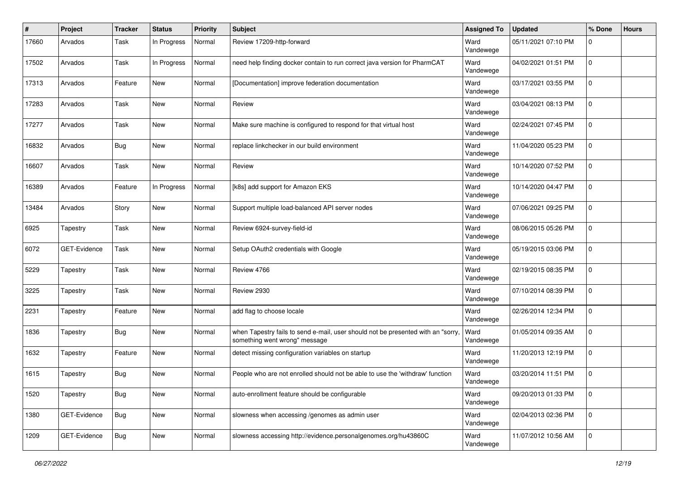| #     | Project      | <b>Tracker</b> | <b>Status</b> | <b>Priority</b> | Subject                                                                                                           | <b>Assigned To</b> | <b>Updated</b>      | % Done      | <b>Hours</b> |
|-------|--------------|----------------|---------------|-----------------|-------------------------------------------------------------------------------------------------------------------|--------------------|---------------------|-------------|--------------|
| 17660 | Arvados      | Task           | In Progress   | Normal          | Review 17209-http-forward                                                                                         | Ward<br>Vandewege  | 05/11/2021 07:10 PM | 0           |              |
| 17502 | Arvados      | Task           | In Progress   | Normal          | need help finding docker contain to run correct java version for PharmCAT                                         | Ward<br>Vandewege  | 04/02/2021 01:51 PM | 0           |              |
| 17313 | Arvados      | Feature        | New           | Normal          | [Documentation] improve federation documentation                                                                  | Ward<br>Vandewege  | 03/17/2021 03:55 PM | 0           |              |
| 17283 | Arvados      | Task           | New           | Normal          | Review                                                                                                            | Ward<br>Vandewege  | 03/04/2021 08:13 PM | 0           |              |
| 17277 | Arvados      | Task           | New           | Normal          | Make sure machine is configured to respond for that virtual host                                                  | Ward<br>Vandewege  | 02/24/2021 07:45 PM | 0           |              |
| 16832 | Arvados      | Bug            | New           | Normal          | replace linkchecker in our build environment                                                                      | Ward<br>Vandewege  | 11/04/2020 05:23 PM | 0           |              |
| 16607 | Arvados      | Task           | <b>New</b>    | Normal          | Review                                                                                                            | Ward<br>Vandewege  | 10/14/2020 07:52 PM | 0           |              |
| 16389 | Arvados      | Feature        | In Progress   | Normal          | [k8s] add support for Amazon EKS                                                                                  | Ward<br>Vandewege  | 10/14/2020 04:47 PM | 0           |              |
| 13484 | Arvados      | Story          | <b>New</b>    | Normal          | Support multiple load-balanced API server nodes                                                                   | Ward<br>Vandewege  | 07/06/2021 09:25 PM | 0           |              |
| 6925  | Tapestry     | Task           | <b>New</b>    | Normal          | Review 6924-survey-field-id                                                                                       | Ward<br>Vandewege  | 08/06/2015 05:26 PM | 0           |              |
| 6072  | GET-Evidence | Task           | New           | Normal          | Setup OAuth2 credentials with Google                                                                              | Ward<br>Vandewege  | 05/19/2015 03:06 PM | 0           |              |
| 5229  | Tapestry     | Task           | <b>New</b>    | Normal          | Review 4766                                                                                                       | Ward<br>Vandewege  | 02/19/2015 08:35 PM | 0           |              |
| 3225  | Tapestry     | Task           | <b>New</b>    | Normal          | Review 2930                                                                                                       | Ward<br>Vandewege  | 07/10/2014 08:39 PM | 0           |              |
| 2231  | Tapestry     | Feature        | <b>New</b>    | Normal          | add flag to choose locale                                                                                         | Ward<br>Vandewege  | 02/26/2014 12:34 PM | 0           |              |
| 1836  | Tapestry     | <b>Bug</b>     | New           | Normal          | when Tapestry fails to send e-mail, user should not be presented with an "sorry,<br>something went wrong" message | Ward<br>Vandewege  | 01/05/2014 09:35 AM | 0           |              |
| 1632  | Tapestry     | Feature        | <b>New</b>    | Normal          | detect missing configuration variables on startup                                                                 | Ward<br>Vandewege  | 11/20/2013 12:19 PM | 0           |              |
| 1615  | Tapestry     | Bug            | <b>New</b>    | Normal          | People who are not enrolled should not be able to use the 'withdraw' function                                     | Ward<br>Vandewege  | 03/20/2014 11:51 PM | 0           |              |
| 1520  | Tapestry     | <b>Bug</b>     | New           | Normal          | auto-enrollment feature should be configurable                                                                    | Ward<br>Vandewege  | 09/20/2013 01:33 PM | $\mathbf 0$ |              |
| 1380  | GET-Evidence | Bug            | New           | Normal          | slowness when accessing /genomes as admin user                                                                    | Ward<br>Vandewege  | 02/04/2013 02:36 PM | 0           |              |
| 1209  | GET-Evidence | <b>Bug</b>     | New           | Normal          | slowness accessing http://evidence.personalgenomes.org/hu43860C                                                   | Ward<br>Vandewege  | 11/07/2012 10:56 AM | $\mathbf 0$ |              |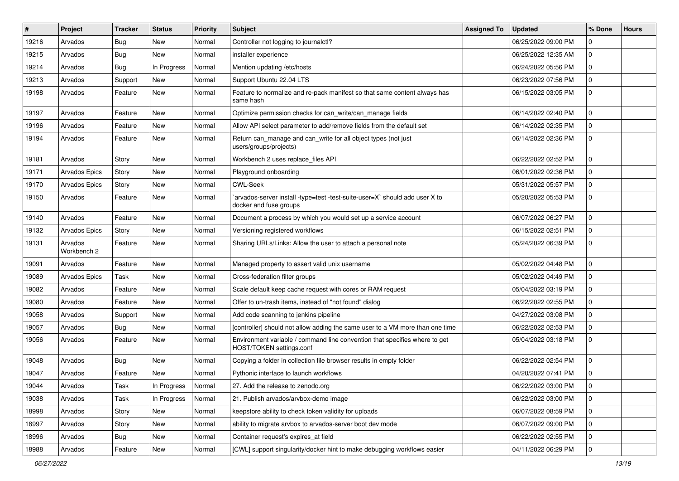| #     | Project                | <b>Tracker</b> | <b>Status</b> | <b>Priority</b> | Subject                                                                                                | <b>Assigned To</b> | <b>Updated</b>      | % Done      | <b>Hours</b> |
|-------|------------------------|----------------|---------------|-----------------|--------------------------------------------------------------------------------------------------------|--------------------|---------------------|-------------|--------------|
| 19216 | Arvados                | <b>Bug</b>     | New           | Normal          | Controller not logging to journalctl?                                                                  |                    | 06/25/2022 09:00 PM | 0           |              |
| 19215 | Arvados                | <b>Bug</b>     | <b>New</b>    | Normal          | installer experience                                                                                   |                    | 06/25/2022 12:35 AM | 0           |              |
| 19214 | Arvados                | Bug            | In Progress   | Normal          | Mention updating /etc/hosts                                                                            |                    | 06/24/2022 05:56 PM | 0           |              |
| 19213 | Arvados                | Support        | <b>New</b>    | Normal          | Support Ubuntu 22.04 LTS                                                                               |                    | 06/23/2022 07:56 PM | 0           |              |
| 19198 | Arvados                | Feature        | New           | Normal          | Feature to normalize and re-pack manifest so that same content always has<br>same hash                 |                    | 06/15/2022 03:05 PM | 0           |              |
| 19197 | Arvados                | Feature        | <b>New</b>    | Normal          | Optimize permission checks for can_write/can_manage fields                                             |                    | 06/14/2022 02:40 PM | 0           |              |
| 19196 | Arvados                | Feature        | New           | Normal          | Allow API select parameter to add/remove fields from the default set                                   |                    | 06/14/2022 02:35 PM | 0           |              |
| 19194 | Arvados                | Feature        | <b>New</b>    | Normal          | Return can_manage and can_write for all object types (not just<br>users/groups/projects)               |                    | 06/14/2022 02:36 PM | 0           |              |
| 19181 | Arvados                | Story          | New           | Normal          | Workbench 2 uses replace_files API                                                                     |                    | 06/22/2022 02:52 PM | $\mathbf 0$ |              |
| 19171 | Arvados Epics          | Story          | New           | Normal          | Playground onboarding                                                                                  |                    | 06/01/2022 02:36 PM | 0           |              |
| 19170 | Arvados Epics          | Story          | <b>New</b>    | Normal          | <b>CWL-Seek</b>                                                                                        |                    | 05/31/2022 05:57 PM | 0           |              |
| 19150 | Arvados                | Feature        | New           | Normal          | arvados-server install -type=test -test-suite-user=X` should add user X to<br>docker and fuse groups   |                    | 05/20/2022 05:53 PM | 0           |              |
| 19140 | Arvados                | Feature        | <b>New</b>    | Normal          | Document a process by which you would set up a service account                                         |                    | 06/07/2022 06:27 PM | 0           |              |
| 19132 | Arvados Epics          | Story          | <b>New</b>    | Normal          | Versioning registered workflows                                                                        |                    | 06/15/2022 02:51 PM | 0           |              |
| 19131 | Arvados<br>Workbench 2 | Feature        | <b>New</b>    | Normal          | Sharing URLs/Links: Allow the user to attach a personal note                                           |                    | 05/24/2022 06:39 PM | 0           |              |
| 19091 | Arvados                | Feature        | New           | Normal          | Managed property to assert valid unix username                                                         |                    | 05/02/2022 04:48 PM | 0           |              |
| 19089 | Arvados Epics          | Task           | <b>New</b>    | Normal          | Cross-federation filter groups                                                                         |                    | 05/02/2022 04:49 PM | 0           |              |
| 19082 | Arvados                | Feature        | New           | Normal          | Scale default keep cache request with cores or RAM request                                             |                    | 05/04/2022 03:19 PM | 0           |              |
| 19080 | Arvados                | Feature        | <b>New</b>    | Normal          | Offer to un-trash items, instead of "not found" dialog                                                 |                    | 06/22/2022 02:55 PM | 0           |              |
| 19058 | Arvados                | Support        | New           | Normal          | Add code scanning to jenkins pipeline                                                                  |                    | 04/27/2022 03:08 PM | 0           |              |
| 19057 | Arvados                | Bug            | <b>New</b>    | Normal          | [controller] should not allow adding the same user to a VM more than one time                          |                    | 06/22/2022 02:53 PM | 0           |              |
| 19056 | Arvados                | Feature        | <b>New</b>    | Normal          | Environment variable / command line convention that specifies where to get<br>HOST/TOKEN settings.conf |                    | 05/04/2022 03:18 PM | 0           |              |
| 19048 | Arvados                | Bug            | <b>New</b>    | Normal          | Copying a folder in collection file browser results in empty folder                                    |                    | 06/22/2022 02:54 PM | 0           |              |
| 19047 | Arvados                | Feature        | <b>New</b>    | Normal          | Pythonic interface to launch workflows                                                                 |                    | 04/20/2022 07:41 PM | 0           |              |
| 19044 | Arvados                | Task           | In Progress   | Normal          | 27. Add the release to zenodo.org                                                                      |                    | 06/22/2022 03:00 PM | 0           |              |
| 19038 | Arvados                | Task           | In Progress   | Normal          | 21. Publish arvados/arvbox-demo image                                                                  |                    | 06/22/2022 03:00 PM | 0           |              |
| 18998 | Arvados                | Story          | New           | Normal          | keepstore ability to check token validity for uploads                                                  |                    | 06/07/2022 08:59 PM | $\mathbf 0$ |              |
| 18997 | Arvados                | Story          | New           | Normal          | ability to migrate arvbox to arvados-server boot dev mode                                              |                    | 06/07/2022 09:00 PM | 0           |              |
| 18996 | Arvados                | <b>Bug</b>     | New           | Normal          | Container request's expires at field                                                                   |                    | 06/22/2022 02:55 PM | 0           |              |
| 18988 | Arvados                | Feature        | New           | Normal          | [CWL] support singularity/docker hint to make debugging workflows easier                               |                    | 04/11/2022 06:29 PM | 0           |              |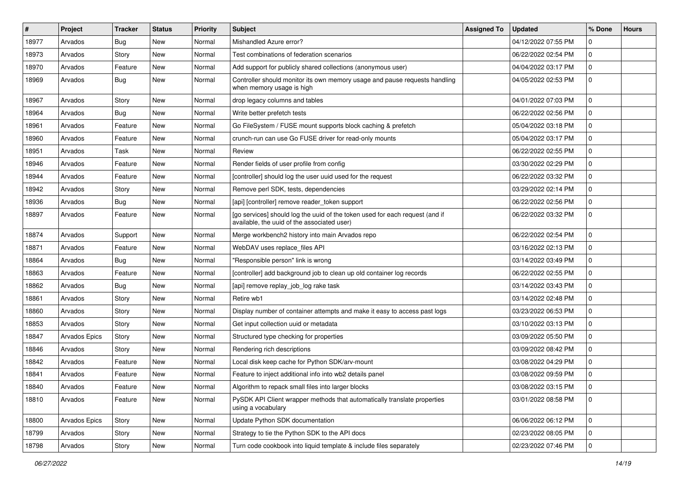| #     | Project       | <b>Tracker</b> | <b>Status</b> | <b>Priority</b> | <b>Subject</b>                                                                                                              | <b>Assigned To</b> | <b>Updated</b>      | % Done      | <b>Hours</b> |
|-------|---------------|----------------|---------------|-----------------|-----------------------------------------------------------------------------------------------------------------------------|--------------------|---------------------|-------------|--------------|
| 18977 | Arvados       | Bug            | <b>New</b>    | Normal          | Mishandled Azure error?                                                                                                     |                    | 04/12/2022 07:55 PM | 0           |              |
| 18973 | Arvados       | Story          | <b>New</b>    | Normal          | Test combinations of federation scenarios                                                                                   |                    | 06/22/2022 02:54 PM | 0           |              |
| 18970 | Arvados       | Feature        | <b>New</b>    | Normal          | Add support for publicly shared collections (anonymous user)                                                                |                    | 04/04/2022 03:17 PM | 0           |              |
| 18969 | Arvados       | <b>Bug</b>     | <b>New</b>    | Normal          | Controller should monitor its own memory usage and pause requests handling<br>when memory usage is high                     |                    | 04/05/2022 02:53 PM | 0           |              |
| 18967 | Arvados       | Story          | <b>New</b>    | Normal          | drop legacy columns and tables                                                                                              |                    | 04/01/2022 07:03 PM | 0           |              |
| 18964 | Arvados       | Bug            | <b>New</b>    | Normal          | Write better prefetch tests                                                                                                 |                    | 06/22/2022 02:56 PM | 0           |              |
| 18961 | Arvados       | Feature        | <b>New</b>    | Normal          | Go FileSystem / FUSE mount supports block caching & prefetch                                                                |                    | 05/04/2022 03:18 PM | 0           |              |
| 18960 | Arvados       | Feature        | <b>New</b>    | Normal          | crunch-run can use Go FUSE driver for read-only mounts                                                                      |                    | 05/04/2022 03:17 PM | 0           |              |
| 18951 | Arvados       | Task           | <b>New</b>    | Normal          | Review                                                                                                                      |                    | 06/22/2022 02:55 PM | 0           |              |
| 18946 | Arvados       | Feature        | <b>New</b>    | Normal          | Render fields of user profile from config                                                                                   |                    | 03/30/2022 02:29 PM | 0           |              |
| 18944 | Arvados       | Feature        | <b>New</b>    | Normal          | [controller] should log the user uuid used for the request                                                                  |                    | 06/22/2022 03:32 PM | 0           |              |
| 18942 | Arvados       | Story          | <b>New</b>    | Normal          | Remove perl SDK, tests, dependencies                                                                                        |                    | 03/29/2022 02:14 PM | 0           |              |
| 18936 | Arvados       | Bug            | <b>New</b>    | Normal          | [api] [controller] remove reader_token support                                                                              |                    | 06/22/2022 02:56 PM | 0           |              |
| 18897 | Arvados       | Feature        | <b>New</b>    | Normal          | [go services] should log the uuid of the token used for each request (and if<br>available, the uuid of the associated user) |                    | 06/22/2022 03:32 PM | 0           |              |
| 18874 | Arvados       | Support        | <b>New</b>    | Normal          | Merge workbench2 history into main Arvados repo                                                                             |                    | 06/22/2022 02:54 PM | 0           |              |
| 18871 | Arvados       | Feature        | <b>New</b>    | Normal          | WebDAV uses replace_files API                                                                                               |                    | 03/16/2022 02:13 PM | 0           |              |
| 18864 | Arvados       | Bug            | <b>New</b>    | Normal          | "Responsible person" link is wrong                                                                                          |                    | 03/14/2022 03:49 PM | 0           |              |
| 18863 | Arvados       | Feature        | <b>New</b>    | Normal          | [controller] add background job to clean up old container log records                                                       |                    | 06/22/2022 02:55 PM | 0           |              |
| 18862 | Arvados       | Bug            | <b>New</b>    | Normal          | [api] remove replay_job_log rake task                                                                                       |                    | 03/14/2022 03:43 PM | 0           |              |
| 18861 | Arvados       | Story          | <b>New</b>    | Normal          | Retire wb1                                                                                                                  |                    | 03/14/2022 02:48 PM | 0           |              |
| 18860 | Arvados       | Story          | <b>New</b>    | Normal          | Display number of container attempts and make it easy to access past logs                                                   |                    | 03/23/2022 06:53 PM | 0           |              |
| 18853 | Arvados       | Story          | <b>New</b>    | Normal          | Get input collection uuid or metadata                                                                                       |                    | 03/10/2022 03:13 PM | 0           |              |
| 18847 | Arvados Epics | Story          | <b>New</b>    | Normal          | Structured type checking for properties                                                                                     |                    | 03/09/2022 05:50 PM | 0           |              |
| 18846 | Arvados       | Story          | <b>New</b>    | Normal          | Rendering rich descriptions                                                                                                 |                    | 03/09/2022 08:42 PM | 0           |              |
| 18842 | Arvados       | Feature        | <b>New</b>    | Normal          | Local disk keep cache for Python SDK/arv-mount                                                                              |                    | 03/08/2022 04:29 PM | 0           |              |
| 18841 | Arvados       | Feature        | <b>New</b>    | Normal          | Feature to inject additional info into wb2 details panel                                                                    |                    | 03/08/2022 09:59 PM | 0           |              |
| 18840 | Arvados       | Feature        | New           | Normal          | Algorithm to repack small files into larger blocks                                                                          |                    | 03/08/2022 03:15 PM | 0           |              |
| 18810 | Arvados       | Feature        | New           | Normal          | PySDK API Client wrapper methods that automatically translate properties<br>using a vocabulary                              |                    | 03/01/2022 08:58 PM | 0           |              |
| 18800 | Arvados Epics | Story          | New           | Normal          | Update Python SDK documentation                                                                                             |                    | 06/06/2022 06:12 PM | 0           |              |
| 18799 | Arvados       | Story          | New           | Normal          | Strategy to tie the Python SDK to the API docs                                                                              |                    | 02/23/2022 08:05 PM | 0           |              |
| 18798 | Arvados       | Story          | New           | Normal          | Turn code cookbook into liquid template & include files separately                                                          |                    | 02/23/2022 07:46 PM | $\mathbf 0$ |              |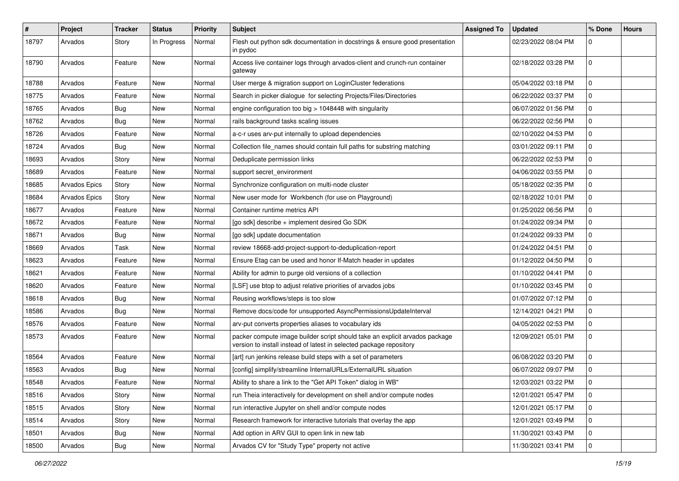| $\#$  | Project       | <b>Tracker</b> | <b>Status</b> | <b>Priority</b> | Subject                                                                                                                                            | <b>Assigned To</b> | <b>Updated</b>      | % Done      | <b>Hours</b> |
|-------|---------------|----------------|---------------|-----------------|----------------------------------------------------------------------------------------------------------------------------------------------------|--------------------|---------------------|-------------|--------------|
| 18797 | Arvados       | Story          | In Progress   | Normal          | Flesh out python sdk documentation in docstrings & ensure good presentation<br>in pydoc                                                            |                    | 02/23/2022 08:04 PM | 0           |              |
| 18790 | Arvados       | Feature        | New           | Normal          | Access live container logs through arvados-client and crunch-run container<br>gateway                                                              |                    | 02/18/2022 03:28 PM | 0           |              |
| 18788 | Arvados       | Feature        | <b>New</b>    | Normal          | User merge & migration support on LoginCluster federations                                                                                         |                    | 05/04/2022 03:18 PM | 0           |              |
| 18775 | Arvados       | Feature        | New           | Normal          | Search in picker dialogue for selecting Projects/Files/Directories                                                                                 |                    | 06/22/2022 03:37 PM | 0           |              |
| 18765 | Arvados       | Bug            | New           | Normal          | engine configuration too big > 1048448 with singularity                                                                                            |                    | 06/07/2022 01:56 PM | 0           |              |
| 18762 | Arvados       | <b>Bug</b>     | <b>New</b>    | Normal          | rails background tasks scaling issues                                                                                                              |                    | 06/22/2022 02:56 PM | 0           |              |
| 18726 | Arvados       | Feature        | New           | Normal          | a-c-r uses arv-put internally to upload dependencies                                                                                               |                    | 02/10/2022 04:53 PM | 0           |              |
| 18724 | Arvados       | Bug            | New           | Normal          | Collection file_names should contain full paths for substring matching                                                                             |                    | 03/01/2022 09:11 PM | 0           |              |
| 18693 | Arvados       | Story          | New           | Normal          | Deduplicate permission links                                                                                                                       |                    | 06/22/2022 02:53 PM | 0           |              |
| 18689 | Arvados       | Feature        | <b>New</b>    | Normal          | support secret_environment                                                                                                                         |                    | 04/06/2022 03:55 PM | 0           |              |
| 18685 | Arvados Epics | Story          | New           | Normal          | Synchronize configuration on multi-node cluster                                                                                                    |                    | 05/18/2022 02:35 PM | 0           |              |
| 18684 | Arvados Epics | Story          | <b>New</b>    | Normal          | New user mode for Workbench (for use on Playground)                                                                                                |                    | 02/18/2022 10:01 PM | 0           |              |
| 18677 | Arvados       | Feature        | New           | Normal          | Container runtime metrics API                                                                                                                      |                    | 01/25/2022 06:56 PM | 0           |              |
| 18672 | Arvados       | Feature        | New           | Normal          | [go sdk] describe + implement desired Go SDK                                                                                                       |                    | 01/24/2022 09:34 PM | $\mathbf 0$ |              |
| 18671 | Arvados       | <b>Bug</b>     | New           | Normal          | [go sdk] update documentation                                                                                                                      |                    | 01/24/2022 09:33 PM | 0           |              |
| 18669 | Arvados       | Task           | New           | Normal          | review 18668-add-project-support-to-deduplication-report                                                                                           |                    | 01/24/2022 04:51 PM | 0           |              |
| 18623 | Arvados       | Feature        | <b>New</b>    | Normal          | Ensure Etag can be used and honor If-Match header in updates                                                                                       |                    | 01/12/2022 04:50 PM | 0           |              |
| 18621 | Arvados       | Feature        | New           | Normal          | Ability for admin to purge old versions of a collection                                                                                            |                    | 01/10/2022 04:41 PM | 0           |              |
| 18620 | Arvados       | Feature        | New           | Normal          | [LSF] use btop to adjust relative priorities of arvados jobs                                                                                       |                    | 01/10/2022 03:45 PM | 0           |              |
| 18618 | Arvados       | Bug            | New           | Normal          | Reusing workflows/steps is too slow                                                                                                                |                    | 01/07/2022 07:12 PM | 0           |              |
| 18586 | Arvados       | Bug            | <b>New</b>    | Normal          | Remove docs/code for unsupported AsyncPermissionsUpdateInterval                                                                                    |                    | 12/14/2021 04:21 PM | 0           |              |
| 18576 | Arvados       | Feature        | New           | Normal          | arv-put converts properties aliases to vocabulary ids                                                                                              |                    | 04/05/2022 02:53 PM | 0           |              |
| 18573 | Arvados       | Feature        | New           | Normal          | packer compute image builder script should take an explicit arvados package<br>version to install instead of latest in selected package repository |                    | 12/09/2021 05:01 PM | 0           |              |
| 18564 | Arvados       | Feature        | <b>New</b>    | Normal          | [art] run jenkins release build steps with a set of parameters                                                                                     |                    | 06/08/2022 03:20 PM | 0           |              |
| 18563 | Arvados       | <b>Bug</b>     | New           | Normal          | [config] simplify/streamline InternalURLs/ExternalURL situation                                                                                    |                    | 06/07/2022 09:07 PM | 0           |              |
| 18548 | Arvados       | Feature        | New           | Normal          | Ability to share a link to the "Get API Token" dialog in WB"                                                                                       |                    | 12/03/2021 03:22 PM | $\mathbf 0$ |              |
| 18516 | Arvados       | Story          | New           | Normal          | run Theia interactively for development on shell and/or compute nodes                                                                              |                    | 12/01/2021 05:47 PM | $\mathbf 0$ |              |
| 18515 | Arvados       | Story          | New           | Normal          | run interactive Jupyter on shell and/or compute nodes                                                                                              |                    | 12/01/2021 05:17 PM | 0           |              |
| 18514 | Arvados       | Story          | New           | Normal          | Research framework for interactive tutorials that overlay the app                                                                                  |                    | 12/01/2021 03:49 PM | 0           |              |
| 18501 | Arvados       | <b>Bug</b>     | New           | Normal          | Add option in ARV GUI to open link in new tab                                                                                                      |                    | 11/30/2021 03:43 PM | 0           |              |
| 18500 | Arvados       | <b>Bug</b>     | New           | Normal          | Arvados CV for "Study Type" property not active                                                                                                    |                    | 11/30/2021 03:41 PM | $\mathbf 0$ |              |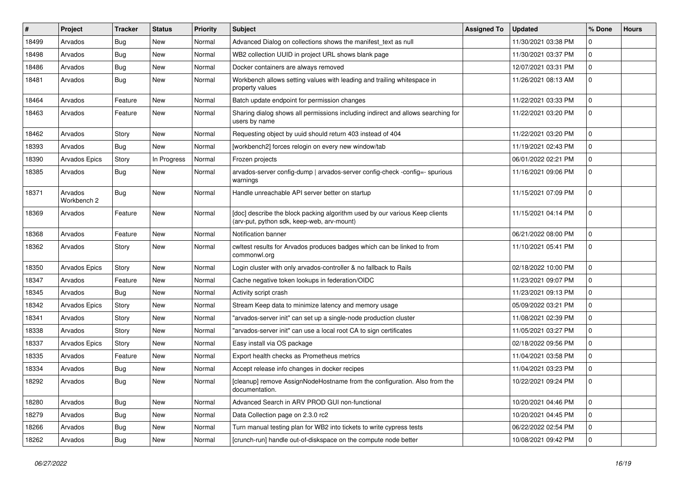| #     | Project                | <b>Tracker</b> | <b>Status</b> | <b>Priority</b> | <b>Subject</b>                                                                                                            | <b>Assigned To</b> | <b>Updated</b>      | % Done      | <b>Hours</b> |
|-------|------------------------|----------------|---------------|-----------------|---------------------------------------------------------------------------------------------------------------------------|--------------------|---------------------|-------------|--------------|
| 18499 | Arvados                | Bug            | New           | Normal          | Advanced Dialog on collections shows the manifest_text as null                                                            |                    | 11/30/2021 03:38 PM | 0           |              |
| 18498 | Arvados                | <b>Bug</b>     | <b>New</b>    | Normal          | WB2 collection UUID in project URL shows blank page                                                                       |                    | 11/30/2021 03:37 PM | 0           |              |
| 18486 | Arvados                | Bug            | New           | Normal          | Docker containers are always removed                                                                                      |                    | 12/07/2021 03:31 PM | 0           |              |
| 18481 | Arvados                | Bug            | New           | Normal          | Workbench allows setting values with leading and trailing whitespace in<br>property values                                |                    | 11/26/2021 08:13 AM | 0           |              |
| 18464 | Arvados                | Feature        | New           | Normal          | Batch update endpoint for permission changes                                                                              |                    | 11/22/2021 03:33 PM | 0           |              |
| 18463 | Arvados                | Feature        | New           | Normal          | Sharing dialog shows all permissions including indirect and allows searching for<br>users by name                         |                    | 11/22/2021 03:20 PM | 0           |              |
| 18462 | Arvados                | Story          | New           | Normal          | Requesting object by uuid should return 403 instead of 404                                                                |                    | 11/22/2021 03:20 PM | 0           |              |
| 18393 | Arvados                | <b>Bug</b>     | <b>New</b>    | Normal          | [workbench2] forces relogin on every new window/tab                                                                       |                    | 11/19/2021 02:43 PM | 0           |              |
| 18390 | <b>Arvados Epics</b>   | Story          | In Progress   | Normal          | Frozen projects                                                                                                           |                    | 06/01/2022 02:21 PM | 0           |              |
| 18385 | Arvados                | Bug            | New           | Normal          | arvados-server config-dump   arvados-server config-check -config=- spurious<br>warnings                                   |                    | 11/16/2021 09:06 PM | 0           |              |
| 18371 | Arvados<br>Workbench 2 | Bug            | New           | Normal          | Handle unreachable API server better on startup                                                                           |                    | 11/15/2021 07:09 PM | 0           |              |
| 18369 | Arvados                | Feature        | New           | Normal          | [doc] describe the block packing algorithm used by our various Keep clients<br>(arv-put, python sdk, keep-web, arv-mount) |                    | 11/15/2021 04:14 PM | 0           |              |
| 18368 | Arvados                | Feature        | New           | Normal          | Notification banner                                                                                                       |                    | 06/21/2022 08:00 PM | 0           |              |
| 18362 | Arvados                | Story          | New           | Normal          | cwltest results for Arvados produces badges which can be linked to from<br>commonwl.org                                   |                    | 11/10/2021 05:41 PM | 0           |              |
| 18350 | Arvados Epics          | Story          | <b>New</b>    | Normal          | Login cluster with only arvados-controller & no fallback to Rails                                                         |                    | 02/18/2022 10:00 PM | 0           |              |
| 18347 | Arvados                | Feature        | New           | Normal          | Cache negative token lookups in federation/OIDC                                                                           |                    | 11/23/2021 09:07 PM | $\mathbf 0$ |              |
| 18345 | Arvados                | Bug            | New           | Normal          | Activity script crash                                                                                                     |                    | 11/23/2021 09:13 PM | 0           |              |
| 18342 | Arvados Epics          | Story          | New           | Normal          | Stream Keep data to minimize latency and memory usage                                                                     |                    | 05/09/2022 03:21 PM | 0           |              |
| 18341 | Arvados                | Story          | New           | Normal          | "arvados-server init" can set up a single-node production cluster                                                         |                    | 11/08/2021 02:39 PM | 0           |              |
| 18338 | Arvados                | Story          | <b>New</b>    | Normal          | 'arvados-server init" can use a local root CA to sign certificates                                                        |                    | 11/05/2021 03:27 PM | 0           |              |
| 18337 | <b>Arvados Epics</b>   | Story          | New           | Normal          | Easy install via OS package                                                                                               |                    | 02/18/2022 09:56 PM | 0           |              |
| 18335 | Arvados                | Feature        | New           | Normal          | Export health checks as Prometheus metrics                                                                                |                    | 11/04/2021 03:58 PM | 0           |              |
| 18334 | Arvados                | Bug            | New           | Normal          | Accept release info changes in docker recipes                                                                             |                    | 11/04/2021 03:23 PM | 0           |              |
| 18292 | Arvados                | Bug            | New           | Normal          | [cleanup] remove AssignNodeHostname from the configuration. Also from the<br>documentation.                               |                    | 10/22/2021 09:24 PM | 0           |              |
| 18280 | Arvados                | Bug            | New           | Normal          | Advanced Search in ARV PROD GUI non-functional                                                                            |                    | 10/20/2021 04:46 PM | 0           |              |
| 18279 | Arvados                | <b>Bug</b>     | New           | Normal          | Data Collection page on 2.3.0 rc2                                                                                         |                    | 10/20/2021 04:45 PM | 0           |              |
| 18266 | Arvados                | <b>Bug</b>     | New           | Normal          | Turn manual testing plan for WB2 into tickets to write cypress tests                                                      |                    | 06/22/2022 02:54 PM | 0           |              |
| 18262 | Arvados                | <b>Bug</b>     | New           | Normal          | [crunch-run] handle out-of-diskspace on the compute node better                                                           |                    | 10/08/2021 09:42 PM | $\mathbf 0$ |              |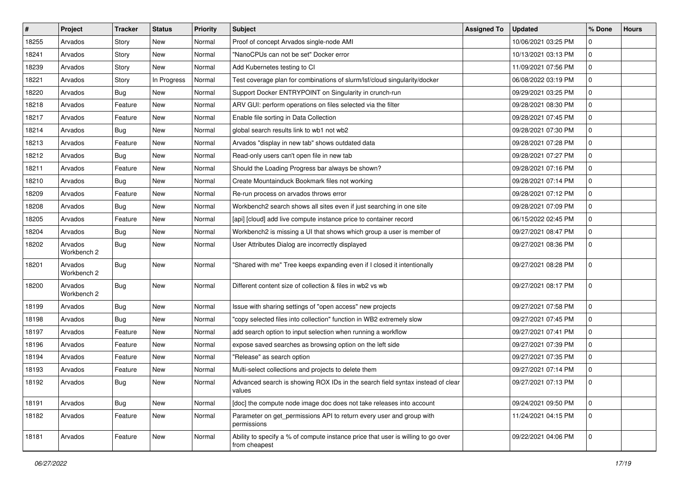| $\vert$ # | Project                | <b>Tracker</b> | <b>Status</b> | <b>Priority</b> | <b>Subject</b>                                                                                    | <b>Assigned To</b> | <b>Updated</b>      | % Done      | <b>Hours</b> |
|-----------|------------------------|----------------|---------------|-----------------|---------------------------------------------------------------------------------------------------|--------------------|---------------------|-------------|--------------|
| 18255     | Arvados                | Story          | <b>New</b>    | Normal          | Proof of concept Arvados single-node AMI                                                          |                    | 10/06/2021 03:25 PM | 0           |              |
| 18241     | Arvados                | Story          | <b>New</b>    | Normal          | "NanoCPUs can not be set" Docker error                                                            |                    | 10/13/2021 03:13 PM | 0           |              |
| 18239     | Arvados                | Story          | New           | Normal          | Add Kubernetes testing to CI                                                                      |                    | 11/09/2021 07:56 PM | $\mathbf 0$ |              |
| 18221     | Arvados                | Story          | In Progress   | Normal          | Test coverage plan for combinations of slurm/lsf/cloud singularity/docker                         |                    | 06/08/2022 03:19 PM | 0           |              |
| 18220     | Arvados                | Bug            | <b>New</b>    | Normal          | Support Docker ENTRYPOINT on Singularity in crunch-run                                            |                    | 09/29/2021 03:25 PM | 0           |              |
| 18218     | Arvados                | Feature        | <b>New</b>    | Normal          | ARV GUI: perform operations on files selected via the filter                                      |                    | 09/28/2021 08:30 PM | 0           |              |
| 18217     | Arvados                | Feature        | <b>New</b>    | Normal          | Enable file sorting in Data Collection                                                            |                    | 09/28/2021 07:45 PM | 0           |              |
| 18214     | Arvados                | Bug            | New           | Normal          | global search results link to wb1 not wb2                                                         |                    | 09/28/2021 07:30 PM | 0           |              |
| 18213     | Arvados                | Feature        | New           | Normal          | Arvados "display in new tab" shows outdated data                                                  |                    | 09/28/2021 07:28 PM | 0           |              |
| 18212     | Arvados                | Bug            | <b>New</b>    | Normal          | Read-only users can't open file in new tab                                                        |                    | 09/28/2021 07:27 PM | 0           |              |
| 18211     | Arvados                | Feature        | New           | Normal          | Should the Loading Progress bar always be shown?                                                  |                    | 09/28/2021 07:16 PM | 0           |              |
| 18210     | Arvados                | Bug            | New           | Normal          | Create Mountainduck Bookmark files not working                                                    |                    | 09/28/2021 07:14 PM | 0           |              |
| 18209     | Arvados                | Feature        | New           | Normal          | Re-run process on arvados throws error                                                            |                    | 09/28/2021 07:12 PM | 0           |              |
| 18208     | Arvados                | Bug            | <b>New</b>    | Normal          | Workbench2 search shows all sites even if just searching in one site                              |                    | 09/28/2021 07:09 PM | 0           |              |
| 18205     | Arvados                | Feature        | <b>New</b>    | Normal          | [api] [cloud] add live compute instance price to container record                                 |                    | 06/15/2022 02:45 PM | 0           |              |
| 18204     | Arvados                | Bug            | New           | Normal          | Workbench2 is missing a UI that shows which group a user is member of                             |                    | 09/27/2021 08:47 PM | 0           |              |
| 18202     | Arvados<br>Workbench 2 | Bug            | New           | Normal          | User Attributes Dialog are incorrectly displayed                                                  |                    | 09/27/2021 08:36 PM | 0           |              |
| 18201     | Arvados<br>Workbench 2 | Bug            | New           | Normal          | "Shared with me" Tree keeps expanding even if I closed it intentionally                           |                    | 09/27/2021 08:28 PM | 0           |              |
| 18200     | Arvados<br>Workbench 2 | Bug            | <b>New</b>    | Normal          | Different content size of collection & files in wb2 vs wb                                         |                    | 09/27/2021 08:17 PM | 0           |              |
| 18199     | Arvados                | Bug            | <b>New</b>    | Normal          | Issue with sharing settings of "open access" new projects                                         |                    | 09/27/2021 07:58 PM | 0           |              |
| 18198     | Arvados                | Bug            | New           | Normal          | "copy selected files into collection" function in WB2 extremely slow                              |                    | 09/27/2021 07:45 PM | 0           |              |
| 18197     | Arvados                | Feature        | <b>New</b>    | Normal          | add search option to input selection when running a workflow                                      |                    | 09/27/2021 07:41 PM | 0           |              |
| 18196     | Arvados                | Feature        | New           | Normal          | expose saved searches as browsing option on the left side                                         |                    | 09/27/2021 07:39 PM | 0           |              |
| 18194     | Arvados                | Feature        | New           | Normal          | "Release" as search option                                                                        |                    | 09/27/2021 07:35 PM | 0           |              |
| 18193     | Arvados                | Feature        | New           | Normal          | Multi-select collections and projects to delete them                                              |                    | 09/27/2021 07:14 PM | 0           |              |
| 18192     | Arvados                | Bug            | New           | Normal          | Advanced search is showing ROX IDs in the search field syntax instead of clear<br>values          |                    | 09/27/2021 07:13 PM | $\mathbf 0$ |              |
| 18191     | Arvados                | Bug            | New           | Normal          | [doc] the compute node image doc does not take releases into account                              |                    | 09/24/2021 09:50 PM | 0           |              |
| 18182     | Arvados                | Feature        | New           | Normal          | Parameter on get_permissions API to return every user and group with<br>permissions               |                    | 11/24/2021 04:15 PM | $\mathbf 0$ |              |
| 18181     | Arvados                | Feature        | New           | Normal          | Ability to specify a % of compute instance price that user is willing to go over<br>from cheapest |                    | 09/22/2021 04:06 PM | $\mathbf 0$ |              |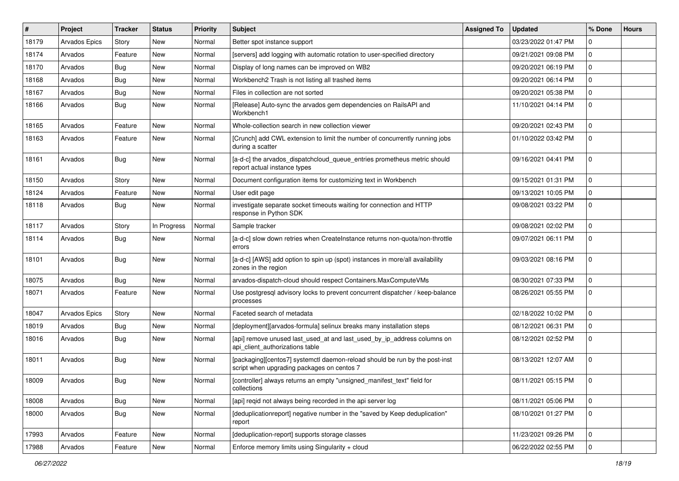| $\#$  | Project       | <b>Tracker</b> | <b>Status</b> | <b>Priority</b> | <b>Subject</b>                                                                                                            | <b>Assigned To</b> | <b>Updated</b>      | % Done      | <b>Hours</b> |
|-------|---------------|----------------|---------------|-----------------|---------------------------------------------------------------------------------------------------------------------------|--------------------|---------------------|-------------|--------------|
| 18179 | Arvados Epics | Story          | <b>New</b>    | Normal          | Better spot instance support                                                                                              |                    | 03/23/2022 01:47 PM | 0           |              |
| 18174 | Arvados       | Feature        | <b>New</b>    | Normal          | [servers] add logging with automatic rotation to user-specified directory                                                 |                    | 09/21/2021 09:08 PM | 0           |              |
| 18170 | Arvados       | Bug            | <b>New</b>    | Normal          | Display of long names can be improved on WB2                                                                              |                    | 09/20/2021 06:19 PM | 0           |              |
| 18168 | Arvados       | Bug            | <b>New</b>    | Normal          | Workbench2 Trash is not listing all trashed items                                                                         |                    | 09/20/2021 06:14 PM | 0           |              |
| 18167 | Arvados       | Bug            | <b>New</b>    | Normal          | Files in collection are not sorted                                                                                        |                    | 09/20/2021 05:38 PM | 0           |              |
| 18166 | Arvados       | Bug            | <b>New</b>    | Normal          | [Release] Auto-sync the arvados gem dependencies on RailsAPI and<br>Workbench1                                            |                    | 11/10/2021 04:14 PM | 0           |              |
| 18165 | Arvados       | Feature        | <b>New</b>    | Normal          | Whole-collection search in new collection viewer                                                                          |                    | 09/20/2021 02:43 PM | 0           |              |
| 18163 | Arvados       | Feature        | <b>New</b>    | Normal          | [Crunch] add CWL extension to limit the number of concurrently running jobs<br>during a scatter                           |                    | 01/10/2022 03:42 PM | 0           |              |
| 18161 | Arvados       | Bug            | <b>New</b>    | Normal          | [a-d-c] the arvados_dispatchcloud_queue_entries prometheus metric should<br>report actual instance types                  |                    | 09/16/2021 04:41 PM | 0           |              |
| 18150 | Arvados       | Story          | <b>New</b>    | Normal          | Document configuration items for customizing text in Workbench                                                            |                    | 09/15/2021 01:31 PM | 0           |              |
| 18124 | Arvados       | Feature        | <b>New</b>    | Normal          | User edit page                                                                                                            |                    | 09/13/2021 10:05 PM | 0           |              |
| 18118 | Arvados       | Bug            | <b>New</b>    | Normal          | investigate separate socket timeouts waiting for connection and HTTP<br>response in Python SDK                            |                    | 09/08/2021 03:22 PM | 0           |              |
| 18117 | Arvados       | Story          | In Progress   | Normal          | Sample tracker                                                                                                            |                    | 09/08/2021 02:02 PM | 0           |              |
| 18114 | Arvados       | Bug            | <b>New</b>    | Normal          | [a-d-c] slow down retries when CreateInstance returns non-quota/non-throttle<br>errors                                    |                    | 09/07/2021 06:11 PM | 0           |              |
| 18101 | Arvados       | Bug            | <b>New</b>    | Normal          | [a-d-c] [AWS] add option to spin up (spot) instances in more/all availability<br>zones in the region                      |                    | 09/03/2021 08:16 PM | 0           |              |
| 18075 | Arvados       | Bug            | <b>New</b>    | Normal          | arvados-dispatch-cloud should respect Containers.MaxComputeVMs                                                            |                    | 08/30/2021 07:33 PM | 0           |              |
| 18071 | Arvados       | Feature        | <b>New</b>    | Normal          | Use postgresql advisory locks to prevent concurrent dispatcher / keep-balance<br>processes                                |                    | 08/26/2021 05:55 PM | 0           |              |
| 18047 | Arvados Epics | Story          | <b>New</b>    | Normal          | Faceted search of metadata                                                                                                |                    | 02/18/2022 10:02 PM | 0           |              |
| 18019 | Arvados       | Bug            | <b>New</b>    | Normal          | [deployment][arvados-formula] selinux breaks many installation steps                                                      |                    | 08/12/2021 06:31 PM | 0           |              |
| 18016 | Arvados       | <b>Bug</b>     | <b>New</b>    | Normal          | [api] remove unused last_used_at and last_used_by_ip_address columns on<br>api_client_authorizations table                |                    | 08/12/2021 02:52 PM | 0           |              |
| 18011 | Arvados       | Bug            | <b>New</b>    | Normal          | [packaging][centos7] systemctl daemon-reload should be run by the post-inst<br>script when upgrading packages on centos 7 |                    | 08/13/2021 12:07 AM | 0           |              |
| 18009 | Arvados       | Bug            | <b>New</b>    | Normal          | [controller] always returns an empty "unsigned_manifest_text" field for<br>collections                                    |                    | 08/11/2021 05:15 PM | 0           |              |
| 18008 | Arvados       | Bug            | New           | Normal          | [api] reqid not always being recorded in the api server log                                                               |                    | 08/11/2021 05:06 PM | 0           |              |
| 18000 | Arvados       | <b>Bug</b>     | New           | Normal          | [deduplicationreport] negative number in the "saved by Keep deduplication"<br>report                                      |                    | 08/10/2021 01:27 PM | $\mathbf 0$ |              |
| 17993 | Arvados       | Feature        | New           | Normal          | [deduplication-report] supports storage classes                                                                           |                    | 11/23/2021 09:26 PM | 0           |              |
| 17988 | Arvados       | Feature        | New           | Normal          | Enforce memory limits using Singularity + cloud                                                                           |                    | 06/22/2022 02:55 PM | 0           |              |